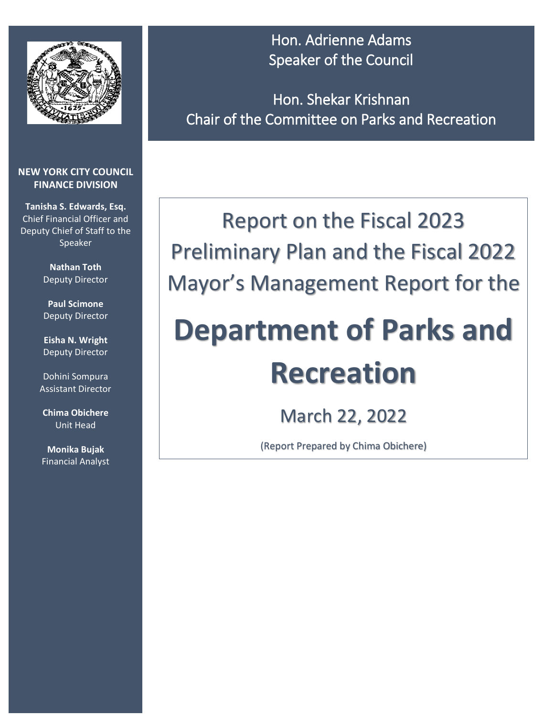

#### **NEW YORK CITY COUNCIL FINANCE DIVISION**

**Tanisha S. Edwards, Esq.** Chief Financial Officer and Deputy Chief of Staff to the Speaker

> **Nathan Toth**  Deputy Director

> **Paul Scimone** Deputy Director

> **Eisha N. Wright** Deputy Director

Dohini Sompura Assistant Director

**Chima Obichere** Unit Head

**Monika Bujak** Financial Analyst

Hon. Adrienne Adams Speaker of the Council

Hon. Shekar Krishnan Chair of the Committee on Parks and Recreation

## Report on the Fiscal 2023 Preliminary Plan and the Fiscal 2022 Mayor's Management Report for the

# **Department of Parks and Recreation**

March 22, 2022

(Report Prepared by Chima Obichere)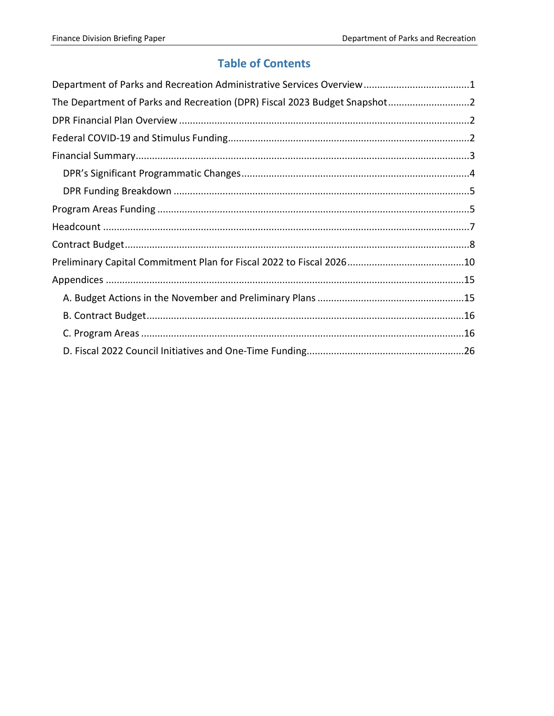#### **Table of Contents**

| The Department of Parks and Recreation (DPR) Fiscal 2023 Budget Snapshot2 |  |
|---------------------------------------------------------------------------|--|
|                                                                           |  |
|                                                                           |  |
|                                                                           |  |
|                                                                           |  |
|                                                                           |  |
|                                                                           |  |
|                                                                           |  |
|                                                                           |  |
|                                                                           |  |
|                                                                           |  |
|                                                                           |  |
|                                                                           |  |
|                                                                           |  |
|                                                                           |  |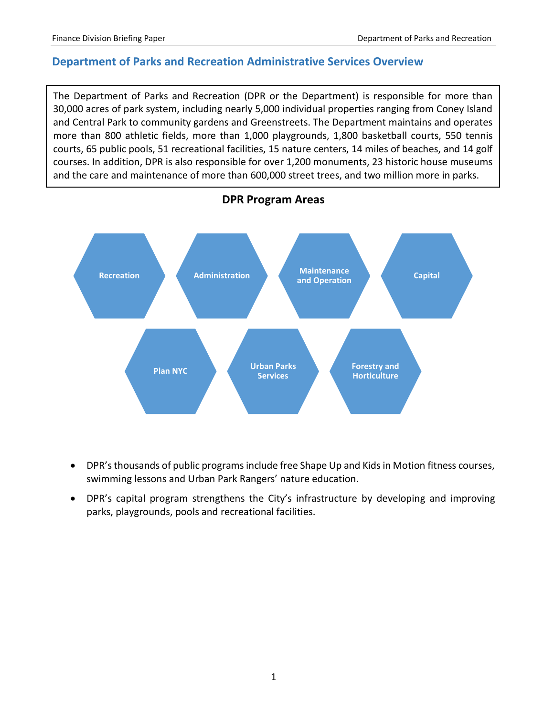#### <span id="page-2-0"></span>**Department of Parks and Recreation Administrative Services Overview**

The Department of Parks and Recreation (DPR or the Department) is responsible for more than 30,000 acres of park system, including nearly 5,000 individual properties ranging from Coney Island and Central Park to community gardens and Greenstreets. The Department maintains and operates more than 800 athletic fields, more than 1,000 playgrounds, 1,800 basketball courts, 550 tennis courts, 65 public pools, 51 recreational facilities, 15 nature centers, 14 miles of beaches, and 14 golf courses. In addition, DPR is also responsible for over 1,200 monuments, 23 historic house museums and the care and maintenance of more than 600,000 street trees, and two million more in parks.



- DPR's thousands of public programs include free Shape Up and Kids in Motion fitness courses, swimming lessons and Urban Park Rangers' nature education.
- DPR's capital program strengthens the City's infrastructure by developing and improving parks, playgrounds, pools and recreational facilities.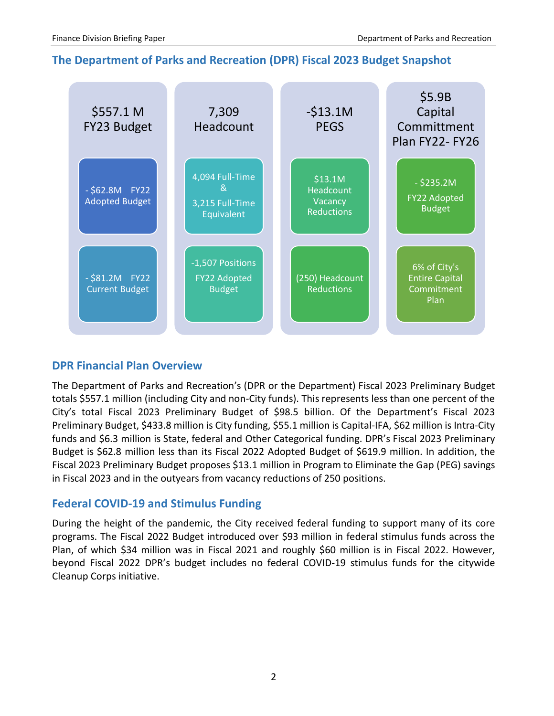#### <span id="page-3-0"></span>**The Department of Parks and Recreation (DPR) Fiscal 2023 Budget Snapshot**



#### <span id="page-3-1"></span>**DPR Financial Plan Overview**

The Department of Parks and Recreation's (DPR or the Department) Fiscal 2023 Preliminary Budget totals \$557.1 million (including City and non-City funds). This represents less than one percent of the City's total Fiscal 2023 Preliminary Budget of \$98.5 billion. Of the Department's Fiscal 2023 Preliminary Budget, \$433.8 million is City funding, \$55.1 million is Capital-IFA, \$62 million is Intra-City funds and \$6.3 million is State, federal and Other Categorical funding. DPR's Fiscal 2023 Preliminary Budget is \$62.8 million less than its Fiscal 2022 Adopted Budget of \$619.9 million. In addition, the Fiscal 2023 Preliminary Budget proposes \$13.1 million in Program to Eliminate the Gap (PEG) savings in Fiscal 2023 and in the outyears from vacancy reductions of 250 positions.

#### <span id="page-3-2"></span>**Federal COVID-19 and Stimulus Funding**

During the height of the pandemic, the City received federal funding to support many of its core programs. The Fiscal 2022 Budget introduced over \$93 million in federal stimulus funds across the Plan, of which \$34 million was in Fiscal 2021 and roughly \$60 million is in Fiscal 2022. However, beyond Fiscal 2022 DPR's budget includes no federal COVID-19 stimulus funds for the citywide Cleanup Corps initiative.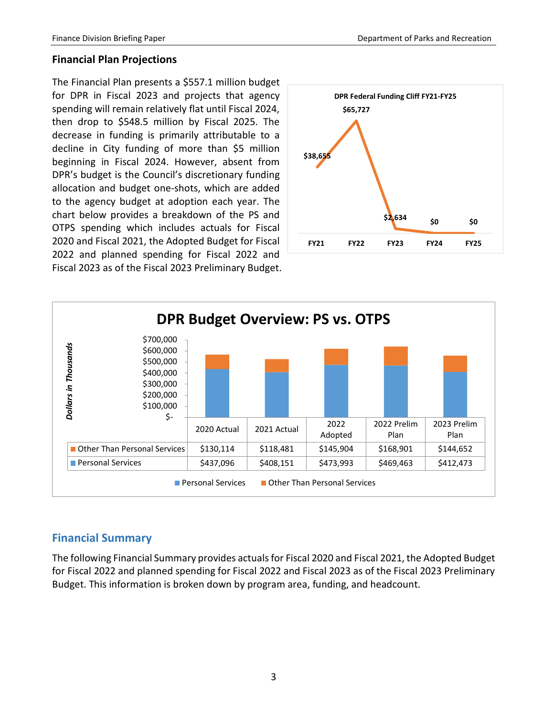#### **Financial Plan Projections**

The Financial Plan presents a \$557.1 million budget for DPR in Fiscal 2023 and projects that agency spending will remain relatively flat until Fiscal 2024, then drop to \$548.5 million by Fiscal 2025. The decrease in funding is primarily attributable to a decline in City funding of more than \$5 million beginning in Fiscal 2024. However, absent from DPR's budget is the Council's discretionary funding allocation and budget one-shots, which are added to the agency budget at adoption each year. The chart below provides a breakdown of the PS and OTPS spending which includes actuals for Fiscal 2020 and Fiscal 2021, the Adopted Budget for Fiscal 2022 and planned spending for Fiscal 2022 and Fiscal 2023 as of the Fiscal 2023 Preliminary Budget.





#### <span id="page-4-0"></span>**Financial Summary**

The following Financial Summary provides actuals for Fiscal 2020 and Fiscal 2021, the Adopted Budget for Fiscal 2022 and planned spending for Fiscal 2022 and Fiscal 2023 as of the Fiscal 2023 Preliminary Budget. This information is broken down by program area, funding, and headcount.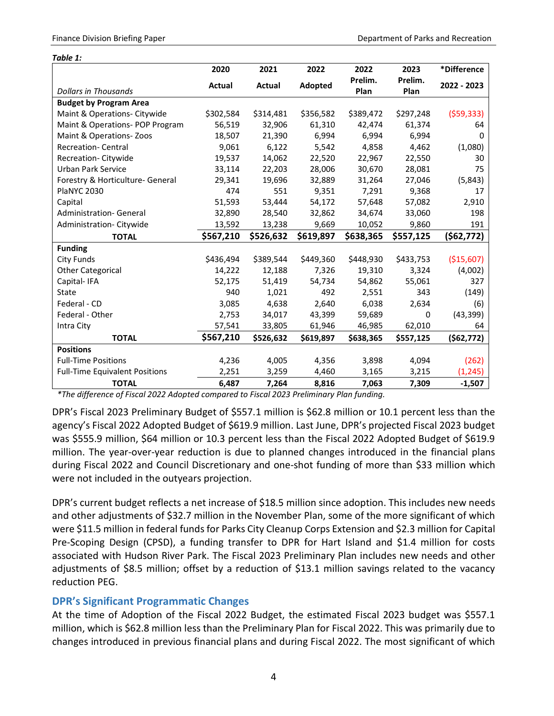| Table 1:                              |           |           |           |           |           |             |
|---------------------------------------|-----------|-----------|-----------|-----------|-----------|-------------|
|                                       | 2020      | 2021      | 2022      | 2022      | 2023      | *Difference |
|                                       | Actual    | Actual    | Adopted   | Prelim.   | Prelim.   | 2022 - 2023 |
| <b>Dollars in Thousands</b>           |           |           |           | Plan      | Plan      |             |
| <b>Budget by Program Area</b>         |           |           |           |           |           |             |
| Maint & Operations- Citywide          | \$302,584 | \$314,481 | \$356,582 | \$389,472 | \$297,248 | (559, 333)  |
| Maint & Operations- POP Program       | 56,519    | 32,906    | 61,310    | 42,474    | 61,374    | 64          |
| Maint & Operations-Zoos               | 18,507    | 21,390    | 6,994     | 6,994     | 6,994     | 0           |
| <b>Recreation-Central</b>             | 9,061     | 6,122     | 5,542     | 4,858     | 4,462     | (1,080)     |
| Recreation-Citywide                   | 19,537    | 14,062    | 22,520    | 22,967    | 22,550    | 30          |
| <b>Urban Park Service</b>             | 33,114    | 22,203    | 28,006    | 30,670    | 28,081    | 75          |
| Forestry & Horticulture- General      | 29,341    | 19,696    | 32,889    | 31,264    | 27,046    | (5,843)     |
| <b>PlaNYC 2030</b>                    | 474       | 551       | 9,351     | 7,291     | 9,368     | 17          |
| Capital                               | 51,593    | 53,444    | 54,172    | 57,648    | 57,082    | 2,910       |
| <b>Administration- General</b>        | 32,890    | 28,540    | 32,862    | 34,674    | 33,060    | 198         |
| Administration-Citywide               | 13,592    | 13,238    | 9,669     | 10,052    | 9,860     | 191         |
| <b>TOTAL</b>                          | \$567,210 | \$526,632 | \$619,897 | \$638,365 | \$557,125 | (562, 772)  |
| <b>Funding</b>                        |           |           |           |           |           |             |
| <b>City Funds</b>                     | \$436,494 | \$389,544 | \$449,360 | \$448,930 | \$433,753 | (\$15,607)  |
| <b>Other Categorical</b>              | 14,222    | 12,188    | 7,326     | 19,310    | 3,324     | (4,002)     |
| Capital-IFA                           | 52,175    | 51,419    | 54,734    | 54,862    | 55,061    | 327         |
| State                                 | 940       | 1,021     | 492       | 2,551     | 343       | (149)       |
| Federal - CD                          | 3,085     | 4,638     | 2,640     | 6,038     | 2,634     | (6)         |
| Federal - Other                       | 2,753     | 34,017    | 43,399    | 59,689    | 0         | (43, 399)   |
| Intra City                            | 57,541    | 33,805    | 61,946    | 46,985    | 62,010    | 64          |
| <b>TOTAL</b>                          | \$567,210 | \$526,632 | \$619,897 | \$638,365 | \$557,125 | (562, 772)  |
| <b>Positions</b>                      |           |           |           |           |           |             |
| <b>Full-Time Positions</b>            | 4,236     | 4,005     | 4,356     | 3,898     | 4,094     | (262)       |
| <b>Full-Time Equivalent Positions</b> | 2,251     | 3,259     | 4,460     | 3,165     | 3,215     | (1, 245)    |
| <b>TOTAL</b>                          | 6,487     | 7,264     | 8,816     | 7,063     | 7,309     | $-1,507$    |

*\*The difference of Fiscal 2022 Adopted compared to Fiscal 2023 Preliminary Plan funding.*

DPR's Fiscal 2023 Preliminary Budget of \$557.1 million is \$62.8 million or 10.1 percent less than the agency's Fiscal 2022 Adopted Budget of \$619.9 million. Last June, DPR's projected Fiscal 2023 budget was \$555.9 million, \$64 million or 10.3 percent less than the Fiscal 2022 Adopted Budget of \$619.9 million. The year-over-year reduction is due to planned changes introduced in the financial plans during Fiscal 2022 and Council Discretionary and one-shot funding of more than \$33 million which were not included in the outyears projection.

DPR's current budget reflects a net increase of \$18.5 million since adoption. This includes new needs and other adjustments of \$32.7 million in the November Plan, some of the more significant of which were \$11.5 million in federal funds for Parks City Cleanup Corps Extension and \$2.3 million for Capital Pre-Scoping Design (CPSD), a funding transfer to DPR for Hart Island and \$1.4 million for costs associated with Hudson River Park. The Fiscal 2023 Preliminary Plan includes new needs and other adjustments of \$8.5 million; offset by a reduction of \$13.1 million savings related to the vacancy reduction PEG.

#### <span id="page-5-0"></span>**DPR's Significant Programmatic Changes**

At the time of Adoption of the Fiscal 2022 Budget, the estimated Fiscal 2023 budget was \$557.1 million, which is \$62.8 million less than the Preliminary Plan for Fiscal 2022. This was primarily due to changes introduced in previous financial plans and during Fiscal 2022. The most significant of which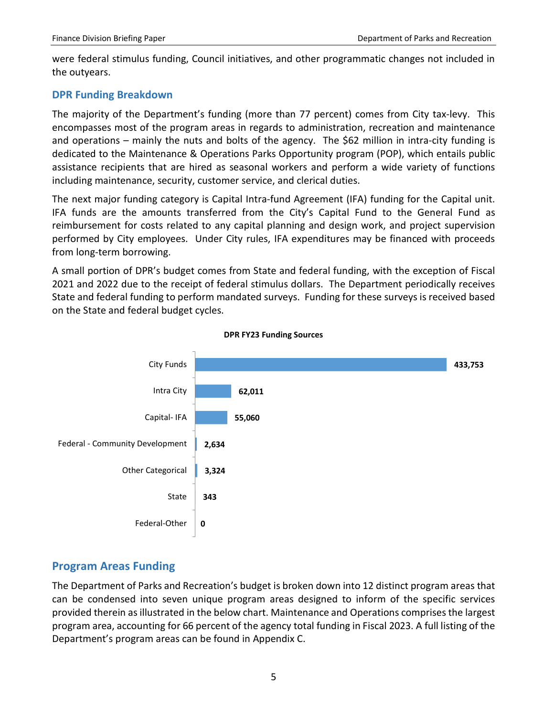were federal stimulus funding, Council initiatives, and other programmatic changes not included in the outyears.

#### <span id="page-6-0"></span>**DPR Funding Breakdown**

The majority of the Department's funding (more than 77 percent) comes from City tax-levy. This encompasses most of the program areas in regards to administration, recreation and maintenance and operations – mainly the nuts and bolts of the agency. The \$62 million in intra-city funding is dedicated to the Maintenance & Operations Parks Opportunity program (POP), which entails public assistance recipients that are hired as seasonal workers and perform a wide variety of functions including maintenance, security, customer service, and clerical duties.

The next major funding category is Capital Intra-fund Agreement (IFA) funding for the Capital unit. IFA funds are the amounts transferred from the City's Capital Fund to the General Fund as reimbursement for costs related to any capital planning and design work, and project supervision performed by City employees. Under City rules, IFA expenditures may be financed with proceeds from long-term borrowing.

A small portion of DPR's budget comes from State and federal funding, with the exception of Fiscal 2021 and 2022 due to the receipt of federal stimulus dollars. The Department periodically receives State and federal funding to perform mandated surveys. Funding for these surveys is received based on the State and federal budget cycles.



#### **DPR FY23 Funding Sources**

#### <span id="page-6-1"></span>**Program Areas Funding**

The Department of Parks and Recreation's budget is broken down into 12 distinct program areas that can be condensed into seven unique program areas designed to inform of the specific services provided therein as illustrated in the below chart. Maintenance and Operations comprises the largest program area, accounting for 66 percent of the agency total funding in Fiscal 2023. A full listing of the Department's program areas can be found in Appendix C.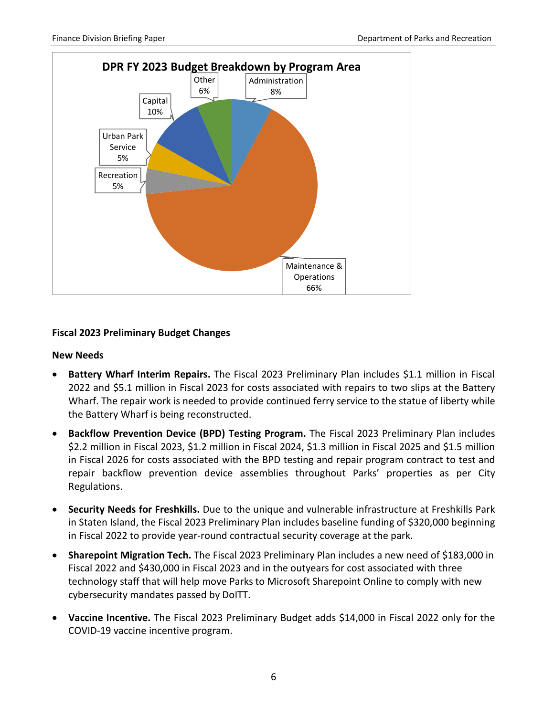

#### **Fiscal 2023 Preliminary Budget Changes**

#### **New Needs**

- **Battery Wharf Interim Repairs.** The Fiscal 2023 Preliminary Plan includes \$1.1 million in Fiscal 2022 and \$5.1 million in Fiscal 2023 for costs associated with repairs to two slips at the Battery Wharf. The repair work is needed to provide continued ferry service to the statue of liberty while the Battery Wharf is being reconstructed.
- **Backflow Prevention Device (BPD) Testing Program.** The Fiscal 2023 Preliminary Plan includes \$2.2 million in Fiscal 2023, \$1.2 million in Fiscal 2024, \$1.3 million in Fiscal 2025 and \$1.5 million in Fiscal 2026 for costs associated with the BPD testing and repair program contract to test and repair backflow prevention device assemblies throughout Parks' properties as per City Regulations.
- **Security Needs for Freshkills.** Due to the unique and vulnerable infrastructure at Freshkills Park in Staten Island, the Fiscal 2023 Preliminary Plan includes baseline funding of \$320,000 beginning in Fiscal 2022 to provide year-round contractual security coverage at the park.
- **Sharepoint Migration Tech.** The Fiscal 2023 Preliminary Plan includes a new need of \$183,000 in Fiscal 2022 and \$430,000 in Fiscal 2023 and in the outyears for cost associated with three technology staff that will help move Parks to Microsoft Sharepoint Online to comply with new cybersecurity mandates passed by DoITT.
- **Vaccine Incentive.** The Fiscal 2023 Preliminary Budget adds \$14,000 in Fiscal 2022 only for the COVID-19 vaccine incentive program.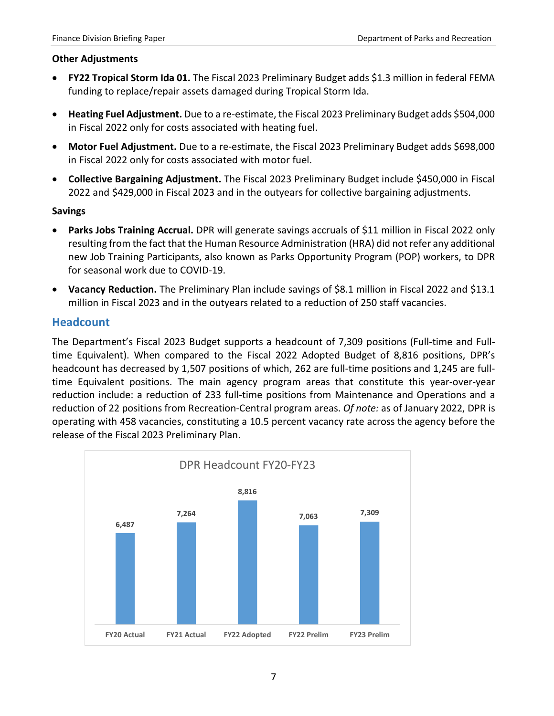#### **Other Adjustments**

- **FY22 Tropical Storm Ida 01.** The Fiscal 2023 Preliminary Budget adds \$1.3 million in federal FEMA funding to replace/repair assets damaged during Tropical Storm Ida.
- **Heating Fuel Adjustment.** Due to a re-estimate, the Fiscal 2023 Preliminary Budget adds \$504,000 in Fiscal 2022 only for costs associated with heating fuel.
- **Motor Fuel Adjustment.** Due to a re-estimate, the Fiscal 2023 Preliminary Budget adds \$698,000 in Fiscal 2022 only for costs associated with motor fuel.
- **Collective Bargaining Adjustment.** The Fiscal 2023 Preliminary Budget include \$450,000 in Fiscal 2022 and \$429,000 in Fiscal 2023 and in the outyears for collective bargaining adjustments.

#### **Savings**

- **Parks Jobs Training Accrual.** DPR will generate savings accruals of \$11 million in Fiscal 2022 only resulting from the fact that the Human Resource Administration (HRA) did not refer any additional new Job Training Participants, also known as Parks Opportunity Program (POP) workers, to DPR for seasonal work due to COVID-19.
- **Vacancy Reduction.** The Preliminary Plan include savings of \$8.1 million in Fiscal 2022 and \$13.1 million in Fiscal 2023 and in the outyears related to a reduction of 250 staff vacancies.

#### <span id="page-8-0"></span>**Headcount**

The Department's Fiscal 2023 Budget supports a headcount of 7,309 positions (Full-time and Fulltime Equivalent). When compared to the Fiscal 2022 Adopted Budget of 8,816 positions, DPR's headcount has decreased by 1,507 positions of which, 262 are full-time positions and 1,245 are fulltime Equivalent positions. The main agency program areas that constitute this year-over-year reduction include: a reduction of 233 full-time positions from Maintenance and Operations and a reduction of 22 positions from Recreation-Central program areas. *Of note:* as of January 2022, DPR is operating with 458 vacancies, constituting a 10.5 percent vacancy rate across the agency before the release of the Fiscal 2023 Preliminary Plan.

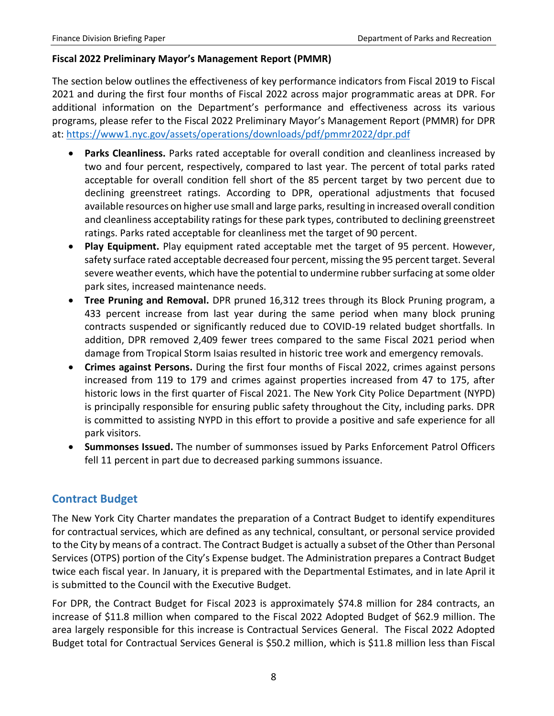#### **Fiscal 2022 Preliminary Mayor's Management Report (PMMR)**

The section below outlines the effectiveness of key performance indicators from Fiscal 2019 to Fiscal 2021 and during the first four months of Fiscal 2022 across major programmatic areas at DPR. For additional information on the Department's performance and effectiveness across its various programs, please refer to the Fiscal 2022 Preliminary Mayor's Management Report (PMMR) for DPR at: <https://www1.nyc.gov/assets/operations/downloads/pdf/pmmr2022/dpr.pdf>

- **Parks Cleanliness.** Parks rated acceptable for overall condition and cleanliness increased by two and four percent, respectively, compared to last year. The percent of total parks rated acceptable for overall condition fell short of the 85 percent target by two percent due to declining greenstreet ratings. According to DPR, operational adjustments that focused available resources on higher use small and large parks, resulting in increased overall condition and cleanliness acceptability ratings for these park types, contributed to declining greenstreet ratings. Parks rated acceptable for cleanliness met the target of 90 percent.
- **Play Equipment.** Play equipment rated acceptable met the target of 95 percent. However, safety surface rated acceptable decreased four percent, missing the 95 percent target. Several severe weather events, which have the potential to undermine rubber surfacing at some older park sites, increased maintenance needs.
- **Tree Pruning and Removal.** DPR pruned 16,312 trees through its Block Pruning program, a 433 percent increase from last year during the same period when many block pruning contracts suspended or significantly reduced due to COVID-19 related budget shortfalls. In addition, DPR removed 2,409 fewer trees compared to the same Fiscal 2021 period when damage from Tropical Storm Isaias resulted in historic tree work and emergency removals.
- **Crimes against Persons.** During the first four months of Fiscal 2022, crimes against persons increased from 119 to 179 and crimes against properties increased from 47 to 175, after historic lows in the first quarter of Fiscal 2021. The New York City Police Department (NYPD) is principally responsible for ensuring public safety throughout the City, including parks. DPR is committed to assisting NYPD in this effort to provide a positive and safe experience for all park visitors.
- **Summonses Issued.** The number of summonses issued by Parks Enforcement Patrol Officers fell 11 percent in part due to decreased parking summons issuance.

#### <span id="page-9-0"></span>**Contract Budget**

The New York City Charter mandates the preparation of a Contract Budget to identify expenditures for contractual services, which are defined as any technical, consultant, or personal service provided to the City by means of a contract. The Contract Budget is actually a subset of the Other than Personal Services (OTPS) portion of the City's Expense budget. The Administration prepares a Contract Budget twice each fiscal year. In January, it is prepared with the Departmental Estimates, and in late April it is submitted to the Council with the Executive Budget.

For DPR, the Contract Budget for Fiscal 2023 is approximately \$74.8 million for 284 contracts, an increase of \$11.8 million when compared to the Fiscal 2022 Adopted Budget of \$62.9 million. The area largely responsible for this increase is Contractual Services General. The Fiscal 2022 Adopted Budget total for Contractual Services General is \$50.2 million, which is \$11.8 million less than Fiscal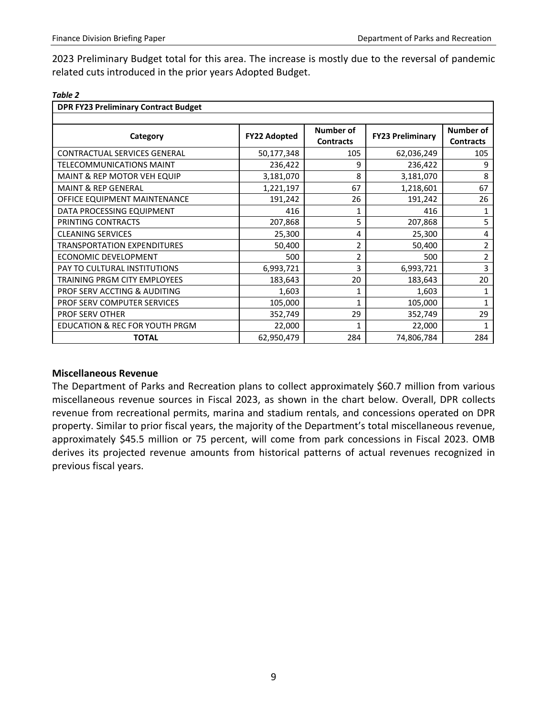2023 Preliminary Budget total for this area. The increase is mostly due to the reversal of pandemic related cuts introduced in the prior years Adopted Budget.

| . .<br>۰,<br>۰, |  |  |  |
|-----------------|--|--|--|
|-----------------|--|--|--|

| <b>DPR FY23 Preliminary Contract Budget</b> |                     |                                      |                         |                               |  |  |  |
|---------------------------------------------|---------------------|--------------------------------------|-------------------------|-------------------------------|--|--|--|
|                                             |                     |                                      |                         |                               |  |  |  |
| Category                                    | <b>FY22 Adopted</b> | <b>Number of</b><br><b>Contracts</b> | <b>FY23 Preliminary</b> | Number of<br><b>Contracts</b> |  |  |  |
| <b>CONTRACTUAL SERVICES GENERAL</b>         | 50,177,348          | 105                                  | 62,036,249              | 105                           |  |  |  |
| <b>TELECOMMUNICATIONS MAINT</b>             | 236,422             | 9                                    | 236,422                 | 9                             |  |  |  |
| MAINT & REP MOTOR VEH EQUIP                 | 3,181,070           | 8                                    | 3,181,070               | 8                             |  |  |  |
| <b>MAINT &amp; REP GENERAL</b>              | 1,221,197           | 67                                   | 1,218,601               | 67                            |  |  |  |
| OFFICE EQUIPMENT MAINTENANCE                | 191,242             | 26                                   | 191,242                 | 26                            |  |  |  |
| DATA PROCESSING EQUIPMENT                   | 416                 |                                      | 416                     | 1                             |  |  |  |
| PRINTING CONTRACTS                          | 207,868             | 5                                    | 207,868                 | 5                             |  |  |  |
| <b>CLEANING SERVICES</b>                    | 25,300              | 4                                    | 25,300                  | 4                             |  |  |  |
| <b>TRANSPORTATION EXPENDITURES</b>          | 50,400              | 2                                    | 50,400                  | $\overline{2}$                |  |  |  |
| <b>ECONOMIC DEVELOPMENT</b>                 | 500                 | $\overline{2}$                       | 500                     | $\overline{2}$                |  |  |  |
| PAY TO CULTURAL INSTITUTIONS                | 6,993,721           | 3                                    | 6,993,721               | 3                             |  |  |  |
| TRAINING PRGM CITY EMPLOYEES                | 183,643             | 20                                   | 183,643                 | 20                            |  |  |  |
| PROF SERV ACCTING & AUDITING                | 1,603               |                                      | 1,603                   |                               |  |  |  |
| PROF SERV COMPUTER SERVICES                 | 105,000             |                                      | 105,000                 |                               |  |  |  |
| <b>PROF SERV OTHER</b>                      | 352,749             | 29                                   | 352,749                 | 29                            |  |  |  |
| EDUCATION & REC FOR YOUTH PRGM              | 22,000              |                                      | 22,000                  |                               |  |  |  |
| <b>TOTAL</b>                                | 62,950,479          | 284                                  | 74,806,784              | 284                           |  |  |  |

#### **Miscellaneous Revenue**

The Department of Parks and Recreation plans to collect approximately \$60.7 million from various miscellaneous revenue sources in Fiscal 2023, as shown in the chart below. Overall, DPR collects revenue from recreational permits, marina and stadium rentals, and concessions operated on DPR property. Similar to prior fiscal years, the majority of the Department's total miscellaneous revenue, approximately \$45.5 million or 75 percent, will come from park concessions in Fiscal 2023. OMB derives its projected revenue amounts from historical patterns of actual revenues recognized in previous fiscal years.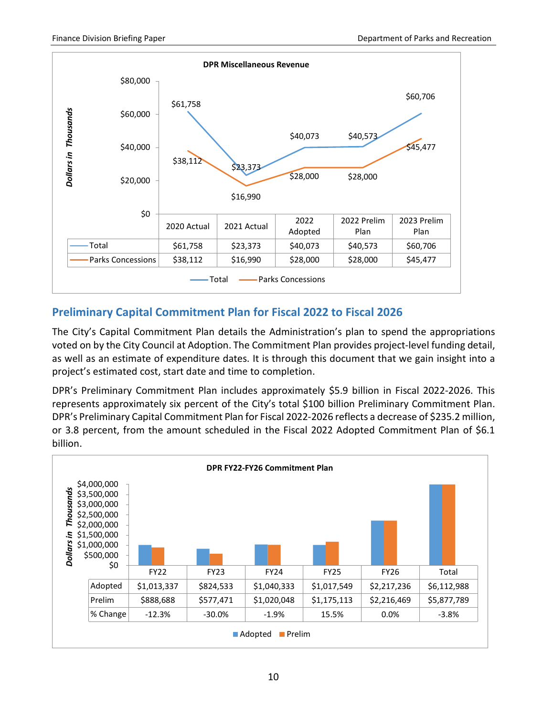

#### <span id="page-11-0"></span>**Preliminary Capital Commitment Plan for Fiscal 2022 to Fiscal 2026**

The City's Capital Commitment Plan details the Administration's plan to spend the appropriations voted on by the City Council at Adoption. The Commitment Plan provides project-level funding detail, as well as an estimate of expenditure dates. It is through this document that we gain insight into a project's estimated cost, start date and time to completion.

DPR's Preliminary Commitment Plan includes approximately \$5.9 billion in Fiscal 2022-2026. This represents approximately six percent of the City's total \$100 billion Preliminary Commitment Plan. DPR's Preliminary Capital Commitment Plan for Fiscal 2022-2026 reflects a decrease of \$235.2 million, or 3.8 percent, from the amount scheduled in the Fiscal 2022 Adopted Commitment Plan of \$6.1 billion.

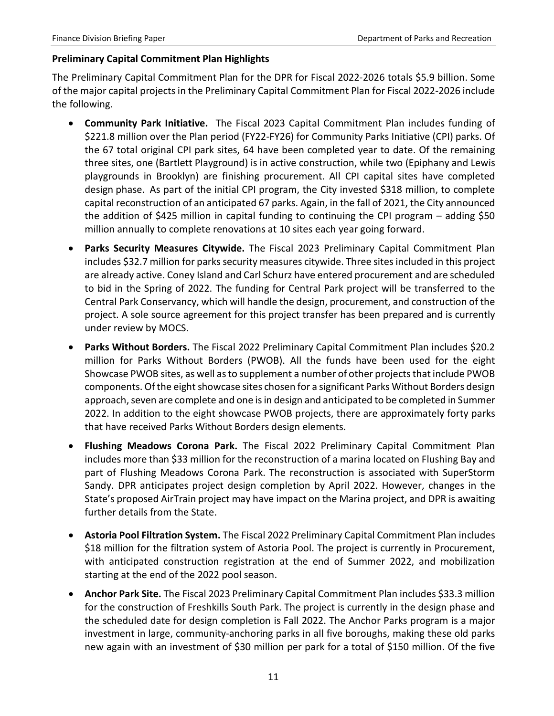#### **Preliminary Capital Commitment Plan Highlights**

The Preliminary Capital Commitment Plan for the DPR for Fiscal 2022-2026 totals \$5.9 billion. Some of the major capital projects in the Preliminary Capital Commitment Plan for Fiscal 2022-2026 include the following.

- **Community Park Initiative.** The Fiscal 2023 Capital Commitment Plan includes funding of \$221.8 million over the Plan period (FY22-FY26) for Community Parks Initiative (CPI) parks. Of the 67 total original CPI park sites, 64 have been completed year to date. Of the remaining three sites, one (Bartlett Playground) is in active construction, while two (Epiphany and Lewis playgrounds in Brooklyn) are finishing procurement. All CPI capital sites have completed design phase. As part of the initial CPI program, the City invested \$318 million, to complete capital reconstruction of an anticipated 67 parks. Again, in the fall of 2021, the City announced the addition of \$425 million in capital funding to continuing the CPI program – adding \$50 million annually to complete renovations at 10 sites each year going forward.
- **Parks Security Measures Citywide.** The Fiscal 2023 Preliminary Capital Commitment Plan includes \$32.7 million for parks security measures citywide. Three sites included in this project are already active. Coney Island and Carl Schurz have entered procurement and are scheduled to bid in the Spring of 2022. The funding for Central Park project will be transferred to the Central Park Conservancy, which will handle the design, procurement, and construction of the project. A sole source agreement for this project transfer has been prepared and is currently under review by MOCS.
- **Parks Without Borders.** The Fiscal 2022 Preliminary Capital Commitment Plan includes \$20.2 million for Parks Without Borders (PWOB). All the funds have been used for the eight Showcase PWOB sites, as well as to supplement a number of other projects that include PWOB components. Of the eight showcase sites chosen for a significant Parks Without Borders design approach, seven are complete and one is in design and anticipated to be completed in Summer 2022. In addition to the eight showcase PWOB projects, there are approximately forty parks that have received Parks Without Borders design elements.
- **Flushing Meadows Corona Park.** The Fiscal 2022 Preliminary Capital Commitment Plan includes more than \$33 million for the reconstruction of a marina located on Flushing Bay and part of Flushing Meadows Corona Park. The reconstruction is associated with SuperStorm Sandy. DPR anticipates project design completion by April 2022. However, changes in the State's proposed AirTrain project may have impact on the Marina project, and DPR is awaiting further details from the State.
- **Astoria Pool Filtration System.** The Fiscal 2022 Preliminary Capital Commitment Plan includes \$18 million for the filtration system of Astoria Pool. The project is currently in Procurement, with anticipated construction registration at the end of Summer 2022, and mobilization starting at the end of the 2022 pool season.
- **Anchor Park Site.** The Fiscal 2023 Preliminary Capital Commitment Plan includes \$33.3 million for the construction of Freshkills South Park. The project is currently in the design phase and the scheduled date for design completion is Fall 2022. The Anchor Parks program is a major investment in large, community-anchoring parks in all five boroughs, making these old parks new again with an investment of \$30 million per park for a total of \$150 million. Of the five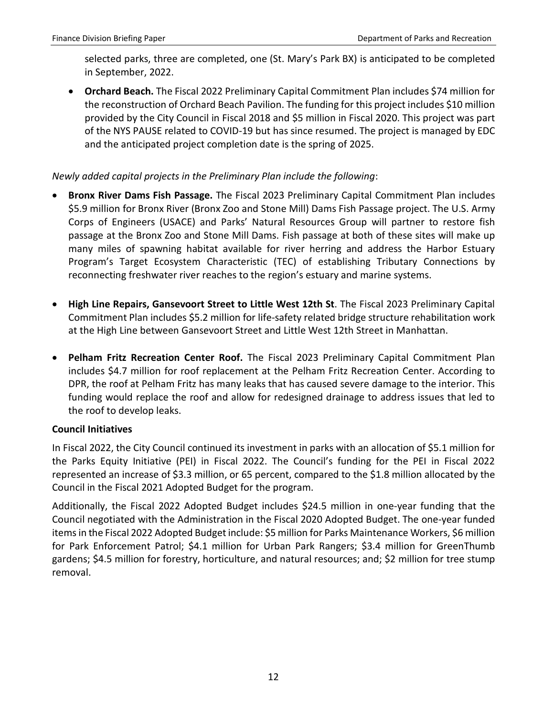selected parks, three are completed, one (St. Mary's Park BX) is anticipated to be completed in September, 2022.

• **Orchard Beach.** The Fiscal 2022 Preliminary Capital Commitment Plan includes \$74 million for the reconstruction of Orchard Beach Pavilion. The funding for this project includes \$10 million provided by the City Council in Fiscal 2018 and \$5 million in Fiscal 2020. This project was part of the NYS PAUSE related to COVID-19 but has since resumed. The project is managed by EDC and the anticipated project completion date is the spring of 2025.

#### *Newly added capital projects in the Preliminary Plan include the following*:

- **Bronx River Dams Fish Passage.** The Fiscal 2023 Preliminary Capital Commitment Plan includes \$5.9 million for Bronx River (Bronx Zoo and Stone Mill) Dams Fish Passage project. The U.S. Army Corps of Engineers (USACE) and Parks' Natural Resources Group will partner to restore fish passage at the Bronx Zoo and Stone Mill Dams. Fish passage at both of these sites will make up many miles of spawning habitat available for river herring and address the Harbor Estuary Program's Target Ecosystem Characteristic (TEC) of establishing Tributary Connections by reconnecting freshwater river reaches to the region's estuary and marine systems.
- **High Line Repairs, Gansevoort Street to Little West 12th St**. The Fiscal 2023 Preliminary Capital Commitment Plan includes \$5.2 million for life-safety related bridge structure rehabilitation work at the High Line between Gansevoort Street and Little West 12th Street in Manhattan.
- **Pelham Fritz Recreation Center Roof.** The Fiscal 2023 Preliminary Capital Commitment Plan includes \$4.7 million for roof replacement at the Pelham Fritz Recreation Center. According to DPR, the roof at Pelham Fritz has many leaks that has caused severe damage to the interior. This funding would replace the roof and allow for redesigned drainage to address issues that led to the roof to develop leaks.

#### **Council Initiatives**

In Fiscal 2022, the City Council continued its investment in parks with an allocation of \$5.1 million for the Parks Equity Initiative (PEI) in Fiscal 2022. The Council's funding for the PEI in Fiscal 2022 represented an increase of \$3.3 million, or 65 percent, compared to the \$1.8 million allocated by the Council in the Fiscal 2021 Adopted Budget for the program.

Additionally, the Fiscal 2022 Adopted Budget includes \$24.5 million in one-year funding that the Council negotiated with the Administration in the Fiscal 2020 Adopted Budget. The one-year funded items in the Fiscal 2022 Adopted Budget include: \$5 million for Parks Maintenance Workers, \$6 million for Park Enforcement Patrol; \$4.1 million for Urban Park Rangers; \$3.4 million for GreenThumb gardens; \$4.5 million for forestry, horticulture, and natural resources; and; \$2 million for tree stump removal.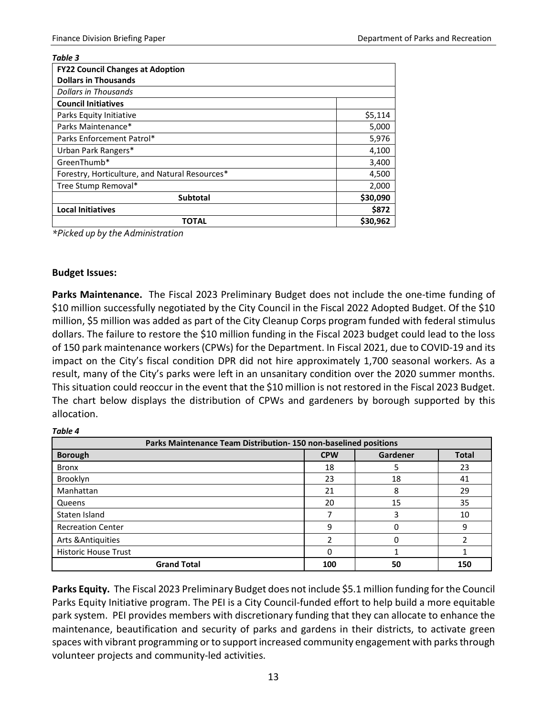| Table 3                                        |          |
|------------------------------------------------|----------|
| <b>FY22 Council Changes at Adoption</b>        |          |
| <b>Dollars in Thousands</b>                    |          |
| <b>Dollars in Thousands</b>                    |          |
| <b>Council Initiatives</b>                     |          |
| Parks Equity Initiative                        | \$5,114  |
| Parks Maintenance*                             | 5,000    |
| Parks Enforcement Patrol*                      | 5,976    |
| Urban Park Rangers*                            | 4,100    |
| GreenThumb*                                    | 3,400    |
| Forestry, Horticulture, and Natural Resources* | 4,500    |
| Tree Stump Removal*                            | 2,000    |
| <b>Subtotal</b>                                | \$30,090 |
| <b>Local Initiatives</b>                       | \$872    |
| <b>TOTAL</b>                                   | \$30,962 |

*\*Picked up by the Administration*

#### **Budget Issues:**

*Table 4*

**Parks Maintenance.** The Fiscal 2023 Preliminary Budget does not include the one-time funding of \$10 million successfully negotiated by the City Council in the Fiscal 2022 Adopted Budget. Of the \$10 million, \$5 million was added as part of the City Cleanup Corps program funded with federal stimulus dollars. The failure to restore the \$10 million funding in the Fiscal 2023 budget could lead to the loss of 150 park maintenance workers (CPWs) for the Department. In Fiscal 2021, due to COVID-19 and its impact on the City's fiscal condition DPR did not hire approximately 1,700 seasonal workers. As a result, many of the City's parks were left in an unsanitary condition over the 2020 summer months. This situation could reoccur in the event that the \$10 million is not restored in the Fiscal 2023 Budget. The chart below displays the distribution of CPWs and gardeners by borough supported by this allocation.

| Parks Maintenance Team Distribution-150 non-baselined positions |            |          |              |  |  |  |
|-----------------------------------------------------------------|------------|----------|--------------|--|--|--|
| <b>Borough</b>                                                  | <b>CPW</b> | Gardener | <b>Total</b> |  |  |  |
| <b>Bronx</b>                                                    | 18         | 5        | 23           |  |  |  |
| Brooklyn                                                        | 23         | 18       | 41           |  |  |  |
| Manhattan                                                       | 21         | 8        | 29           |  |  |  |
| Queens                                                          | 20         | 15       | 35           |  |  |  |
| Staten Island                                                   |            | 3        | 10           |  |  |  |
| <b>Recreation Center</b>                                        | q          | 0        | 9            |  |  |  |
| Arts & Antiquities                                              |            | 0        |              |  |  |  |
| <b>Historic House Trust</b>                                     |            |          |              |  |  |  |
| <b>Grand Total</b>                                              | 100        | 50       | 150          |  |  |  |

**Parks Equity.** The Fiscal 2023 Preliminary Budget does not include \$5.1 million funding for the Council Parks Equity Initiative program. The PEI is a City Council-funded effort to help build a more equitable park system. PEI provides members with discretionary funding that they can allocate to enhance the maintenance, beautification and security of parks and gardens in their districts, to activate green spaces with vibrant programming or to support increased community engagement with parks through volunteer projects and community-led activities.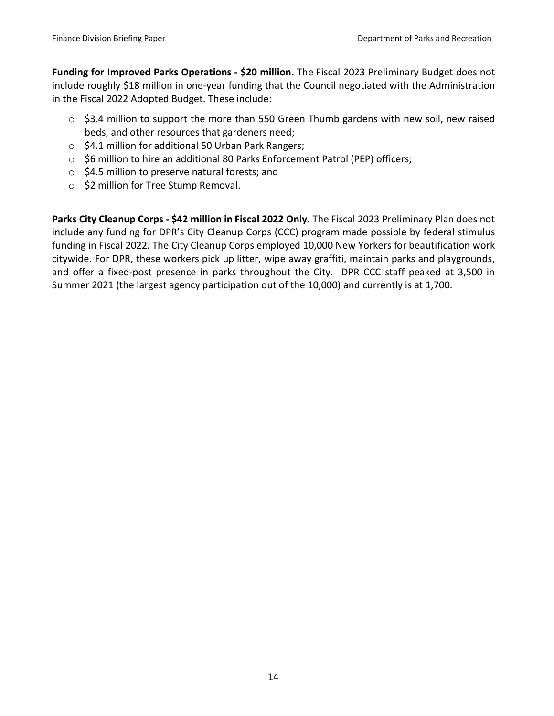**Funding for Improved Parks Operations - \$20 million.** The Fiscal 2023 Preliminary Budget does not include roughly \$18 million in one-year funding that the Council negotiated with the Administration in the Fiscal 2022 Adopted Budget. These include:

- o \$3.4 million to support the more than 550 Green Thumb gardens with new soil, new raised beds, and other resources that gardeners need;
- o \$4.1 million for additional 50 Urban Park Rangers;
- o \$6 million to hire an additional 80 Parks Enforcement Patrol (PEP) officers;
- o \$4.5 million to preserve natural forests; and
- o \$2 million for Tree Stump Removal.

**Parks City Cleanup Corps - \$42 million in Fiscal 2022 Only.** The Fiscal 2023 Preliminary Plan does not include any funding for DPR's City Cleanup Corps (CCC) program made possible by federal stimulus funding in Fiscal 2022. The City Cleanup Corps employed 10,000 New Yorkers for beautification work citywide. For DPR, these workers pick up litter, wipe away graffiti, maintain parks and playgrounds, and offer a fixed-post presence in parks throughout the City. DPR CCC staff peaked at 3,500 in Summer 2021 (the largest agency participation out of the 10,000) and currently is at 1,700.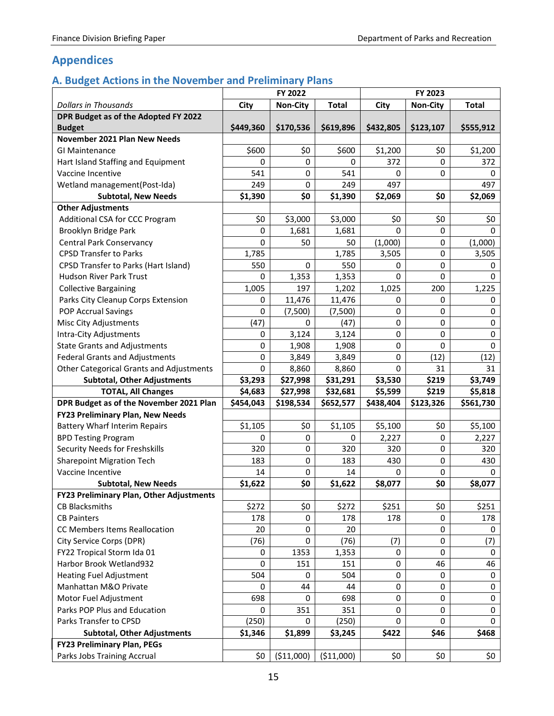#### <span id="page-16-0"></span>**Appendices**

#### <span id="page-16-1"></span>**A. Budget Actions in the November and Preliminary Plans**

|                                          | FY 2022   |                 |              | FY 2023   |                 |              |
|------------------------------------------|-----------|-----------------|--------------|-----------|-----------------|--------------|
| <b>Dollars in Thousands</b>              | City      | <b>Non-City</b> | <b>Total</b> | City      | <b>Non-City</b> | <b>Total</b> |
| DPR Budget as of the Adopted FY 2022     |           |                 |              |           |                 |              |
| <b>Budget</b>                            | \$449,360 | \$170,536       | \$619,896    | \$432,805 | \$123,107       | \$555,912    |
| November 2021 Plan New Needs             |           |                 |              |           |                 |              |
| <b>GI Maintenance</b>                    | \$600     | \$0             | \$600        | \$1,200   | \$0             | \$1,200      |
| Hart Island Staffing and Equipment       | 0         | $\mathbf 0$     | 0            | 372       | 0               | 372          |
| Vaccine Incentive                        | 541       | 0               | 541          | 0         | 0               | 0            |
| Wetland management(Post-Ida)             | 249       | 0               | 249          | 497       |                 | 497          |
| <b>Subtotal, New Needs</b>               | \$1,390   | \$0             | \$1,390      | \$2,069   | \$0             | \$2,069      |
| <b>Other Adjustments</b>                 |           |                 |              |           |                 |              |
| Additional CSA for CCC Program           | \$0       | \$3,000         | \$3,000      | \$0       | \$0             | \$0          |
| Brooklyn Bridge Park                     | 0         | 1,681           | 1,681        | 0         | 0               | 0            |
| <b>Central Park Conservancy</b>          | 0         | 50              | 50           | (1,000)   | 0               | (1,000)      |
| <b>CPSD Transfer to Parks</b>            | 1,785     |                 | 1,785        | 3,505     | 0               | 3,505        |
| CPSD Transfer to Parks (Hart Island)     | 550       | $\mathbf 0$     | 550          | 0         | 0               | 0            |
| <b>Hudson River Park Trust</b>           | 0         | 1,353           | 1,353        | 0         | 0               | 0            |
| <b>Collective Bargaining</b>             | 1,005     | 197             | 1,202        | 1,025     | 200             | 1,225        |
| Parks City Cleanup Corps Extension       | 0         | 11,476          | 11,476       | 0         | 0               | 0            |
| POP Accrual Savings                      | 0         | (7,500)         | (7,500)      | 0         | 0               | 0            |
| <b>Misc City Adjustments</b>             | (47)      | 0               | (47)         | 0         | 0               | 0            |
| <b>Intra-City Adjustments</b>            | 0         | 3,124           | 3,124        | 0         | 0               | 0            |
| <b>State Grants and Adjustments</b>      | 0         | 1,908           | 1,908        | 0         | 0               | $\mathbf 0$  |
| <b>Federal Grants and Adjustments</b>    | 0         | 3,849           | 3,849        | 0         | (12)            | (12)         |
| Other Categorical Grants and Adjustments | 0         | 8,860           | 8,860        | 0         | 31              | 31           |
|                                          |           |                 |              |           |                 |              |
| <b>Subtotal, Other Adjustments</b>       | \$3,293   | \$27,998        | \$31,291     | \$3,530   | \$219           | \$3,749      |
| <b>TOTAL, All Changes</b>                | \$4,683   | \$27,998        | \$32,681     | \$5,599   | \$219           | \$5,818      |
| DPR Budget as of the November 2021 Plan  | \$454,043 | \$198,534       | \$652,577    | \$438,404 | \$123,326       | \$561,730    |
| FY23 Preliminary Plan, New Needs         |           |                 |              |           |                 |              |
| <b>Battery Wharf Interim Repairs</b>     | \$1,105   | \$0             | \$1,105      | \$5,100   | \$0             | \$5,100      |
| <b>BPD Testing Program</b>               | 0         | $\mathbf 0$     | 0            | 2,227     | 0               | 2,227        |
| Security Needs for Freshskills           | 320       | $\mathbf 0$     | 320          | 320       | 0               | 320          |
| <b>Sharepoint Migration Tech</b>         | 183       | $\mathbf 0$     | 183          | 430       | 0               | 430          |
| Vaccine Incentive                        | 14        | 0               | 14           | 0         | 0               | $\Omega$     |
| <b>Subtotal, New Needs</b>               | \$1,622   | \$0             | \$1,622      | \$8,077   | \$0             | \$8,077      |
| FY23 Preliminary Plan, Other Adjustments |           |                 |              |           |                 |              |
| <b>CB Blacksmiths</b>                    | \$272     | \$0             | \$272        | \$251     | \$0             | \$251        |
| <b>CB Painters</b>                       | 178       | 0               | 178          | 178       | 0               | 178          |
| CC Members Items Reallocation            | 20        | 0               | 20           |           | 0               | 0            |
| City Service Corps (DPR)                 | (76)      | $\pmb{0}$       | (76)         | (7)       | 0               | (7)          |
| FY22 Tropical Storm Ida 01               | 0         | 1353            | 1,353        | 0         | 0               | 0            |
| Harbor Brook Wetland932                  | 0         | 151             | 151          | 0         | 46              | 46           |
| <b>Heating Fuel Adjustment</b>           | 504       | 0               | 504          | 0         | 0               | 0            |
| Manhattan M&O Private                    | 0         | 44              | 44           | 0         | 0               | $\pmb{0}$    |
| Motor Fuel Adjustment                    | 698       | 0               | 698          | 0         | 0               | $\pmb{0}$    |
| Parks POP Plus and Education             | 0         | 351             | 351          | 0         | 0               | 0            |
| Parks Transfer to CPSD                   | (250)     | 0               | (250)        | 0         | $\Omega$        | 0            |
| <b>Subtotal, Other Adjustments</b>       | \$1,346   | \$1,899         | \$3,245      | \$422     | \$46            | \$468        |
| <b>FY23 Preliminary Plan, PEGs</b>       |           |                 |              |           |                 |              |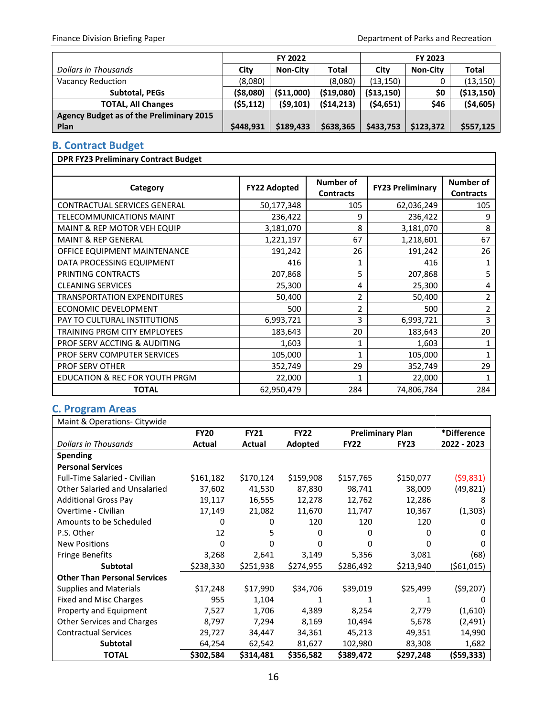|                                                 | FY 2022   |                 |             | FY 2023      |                 |              |
|-------------------------------------------------|-----------|-----------------|-------------|--------------|-----------------|--------------|
| Dollars in Thousands                            | City      | <b>Non-City</b> | Total       | City         | <b>Non-City</b> | <b>Total</b> |
| <b>Vacancy Reduction</b>                        | (8,080)   |                 | (8,080)     | (13, 150)    |                 | (13, 150)    |
| Subtotal, PEGs                                  | (\$8,080) | (\$11,000)      | ( \$19,080) | ( \$13, 150) | \$0             | ( \$13, 150) |
| <b>TOTAL, All Changes</b>                       | (55, 112) | (59, 101)       | (514, 213)  | (54, 651)    | \$46            | ( \$4,605)   |
| <b>Agency Budget as of the Preliminary 2015</b> |           |                 |             |              |                 |              |
| Plan                                            | \$448,931 | \$189,433       | \$638,365   | \$433,753    | \$123,372       | \$557,125    |

#### <span id="page-17-0"></span>**B. Contract Budget**

| <b>DPR FY23 Preliminary Contract Budget</b> |                     |                                      |                         |                                      |
|---------------------------------------------|---------------------|--------------------------------------|-------------------------|--------------------------------------|
|                                             |                     |                                      |                         |                                      |
| Category                                    | <b>FY22 Adopted</b> | <b>Number of</b><br><b>Contracts</b> | <b>FY23 Preliminary</b> | <b>Number of</b><br><b>Contracts</b> |
| <b>CONTRACTUAL SERVICES GENERAL</b>         | 50,177,348          | 105                                  | 62,036,249              | 105                                  |
| <b>TELECOMMUNICATIONS MAINT</b>             | 236,422             | 9                                    | 236,422                 | 9                                    |
| MAINT & REP MOTOR VEH EQUIP                 | 3,181,070           | 8                                    | 3,181,070               | 8                                    |
| <b>MAINT &amp; REP GENERAL</b>              | 1,221,197           | 67                                   | 1,218,601               | 67                                   |
| OFFICE EQUIPMENT MAINTENANCE                | 191,242             | 26                                   | 191,242                 | 26                                   |
| DATA PROCESSING EQUIPMENT                   | 416                 | 1                                    | 416                     | 1                                    |
| PRINTING CONTRACTS                          | 207,868             | 5                                    | 207,868                 | 5                                    |
| <b>CLEANING SERVICES</b>                    | 25,300              | 4                                    | 25,300                  | 4                                    |
| <b>TRANSPORTATION EXPENDITURES</b>          | 50,400              | 2                                    | 50,400                  | 2                                    |
| ECONOMIC DEVELOPMENT                        | 500                 | $\overline{2}$                       | 500                     | $\overline{2}$                       |
| PAY TO CULTURAL INSTITUTIONS                | 6,993,721           | 3                                    | 6,993,721               | 3                                    |
| TRAINING PRGM CITY EMPLOYEES                | 183,643             | 20                                   | 183,643                 | 20                                   |
| PROF SERV ACCTING & AUDITING                | 1,603               | 1                                    | 1,603                   | 1                                    |
| <b>PROF SERV COMPUTER SERVICES</b>          | 105,000             | 1                                    | 105,000                 | $\mathbf{1}$                         |
| <b>PROF SERV OTHER</b>                      | 352,749             | 29                                   | 352,749                 | 29                                   |
| EDUCATION & REC FOR YOUTH PRGM              | 22,000              | 1                                    | 22,000                  | $\mathbf{1}$                         |
| <b>TOTAL</b>                                | 62,950,479          | 284                                  | 74,806,784              | 284                                  |

#### <span id="page-17-1"></span>**C. Program Areas**

| Maint & Operations- Citywide         |             |             |             |             |                         |              |
|--------------------------------------|-------------|-------------|-------------|-------------|-------------------------|--------------|
|                                      | <b>FY20</b> | <b>FY21</b> | <b>FY22</b> |             | <b>Preliminary Plan</b> | *Difference  |
| <b>Dollars in Thousands</b>          | Actual      | Actual      | Adopted     | <b>FY22</b> | <b>FY23</b>             | 2022 - 2023  |
| Spending                             |             |             |             |             |                         |              |
| <b>Personal Services</b>             |             |             |             |             |                         |              |
| <b>Full-Time Salaried - Civilian</b> | \$161,182   | \$170,124   | \$159,908   | \$157,765   | \$150,077               | (59,831)     |
| Other Salaried and Unsalaried        | 37,602      | 41,530      | 87,830      | 98,741      | 38,009                  | (49, 821)    |
| <b>Additional Gross Pay</b>          | 19,117      | 16,555      | 12,278      | 12,762      | 12,286                  | 8            |
| Overtime - Civilian                  | 17,149      | 21,082      | 11,670      | 11,747      | 10,367                  | (1,303)      |
| Amounts to be Scheduled              | 0           | 0           | 120         | 120         | 120                     | 0            |
| P.S. Other                           | 12          | 5           | 0           | 0           | 0                       | 0            |
| <b>New Positions</b>                 | 0           | 0           | n           | 0           | 0                       | 0            |
| <b>Fringe Benefits</b>               | 3,268       | 2,641       | 3,149       | 5,356       | 3,081                   | (68)         |
| <b>Subtotal</b>                      | \$238,330   | \$251,938   | \$274,955   | \$286,492   | \$213,940               | (\$61,015)   |
| <b>Other Than Personal Services</b>  |             |             |             |             |                         |              |
| <b>Supplies and Materials</b>        | \$17,248    | \$17,990    | \$34,706    | \$39,019    | \$25,499                | (59, 207)    |
| <b>Fixed and Misc Charges</b>        | 955         | 1,104       |             |             | 1                       | <sup>0</sup> |
| Property and Equipment               | 7,527       | 1,706       | 4,389       | 8,254       | 2,779                   | (1,610)      |
| <b>Other Services and Charges</b>    | 8,797       | 7,294       | 8,169       | 10,494      | 5,678                   | (2,491)      |
| <b>Contractual Services</b>          | 29,727      | 34,447      | 34,361      | 45,213      | 49,351                  | 14,990       |
| <b>Subtotal</b>                      | 64,254      | 62,542      | 81,627      | 102,980     | 83,308                  | 1,682        |
| <b>TOTAL</b>                         | \$302,584   | \$314,481   | \$356,582   | \$389,472   | \$297,248               | (\$59,333)   |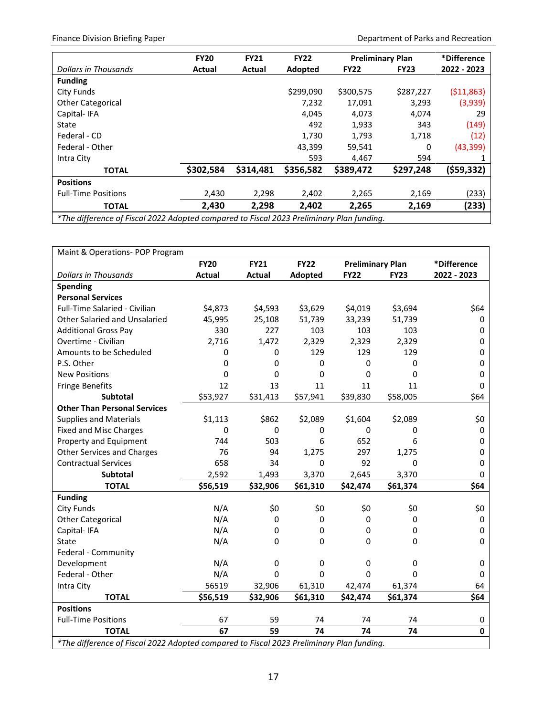Finance Division Briefing Paper **Department of Parks and Recreation** 

|                                                                                          | <b>FY20</b> | <b>FY21</b> | <b>FY22</b> |             | <b>Preliminary Plan</b> | *Difference |
|------------------------------------------------------------------------------------------|-------------|-------------|-------------|-------------|-------------------------|-------------|
| <b>Dollars in Thousands</b>                                                              | Actual      | Actual      | Adopted     | <b>FY22</b> | <b>FY23</b>             | 2022 - 2023 |
| <b>Funding</b>                                                                           |             |             |             |             |                         |             |
| City Funds                                                                               |             |             | \$299,090   | \$300,575   | \$287,227               | ( \$11,863) |
| <b>Other Categorical</b>                                                                 |             |             | 7,232       | 17,091      | 3,293                   | (3,939)     |
| Capital-IFA                                                                              |             |             | 4.045       | 4,073       | 4,074                   | 29          |
| State                                                                                    |             |             | 492         | 1,933       | 343                     | (149)       |
| Federal - CD                                                                             |             |             | 1.730       | 1.793       | 1,718                   | (12)        |
| Federal - Other                                                                          |             |             | 43,399      | 59,541      | 0                       | (43, 399)   |
| Intra City                                                                               |             |             | 593         | 4,467       | 594                     |             |
| <b>TOTAL</b>                                                                             | \$302,584   | \$314,481   | \$356,582   | \$389,472   | \$297,248               | (\$59,332)  |
| <b>Positions</b>                                                                         |             |             |             |             |                         |             |
| <b>Full-Time Positions</b>                                                               | 2,430       | 2,298       | 2,402       | 2,265       | 2,169                   | (233)       |
| <b>TOTAL</b>                                                                             | 2,430       | 2,298       | 2,402       | 2,265       | 2,169                   | (233)       |
| *The difference of Fiscal 2022 Adopted compared to Fiscal 2023 Preliminary Plan funding. |             |             |             |             |                         |             |

*\*The difference of Fiscal 2022 Adopted compared to Fiscal 2023 Preliminary Plan funding.*

| Maint & Operations- POP Program                                                          |               |               |             |                         |             |             |  |
|------------------------------------------------------------------------------------------|---------------|---------------|-------------|-------------------------|-------------|-------------|--|
|                                                                                          | <b>FY20</b>   | <b>FY21</b>   | <b>FY22</b> | <b>Preliminary Plan</b> |             | *Difference |  |
| <b>Dollars in Thousands</b>                                                              | <b>Actual</b> | <b>Actual</b> | Adopted     | <b>FY22</b>             | <b>FY23</b> | 2022 - 2023 |  |
| <b>Spending</b>                                                                          |               |               |             |                         |             |             |  |
| <b>Personal Services</b>                                                                 |               |               |             |                         |             |             |  |
| Full-Time Salaried - Civilian                                                            | \$4,873       | \$4,593       | \$3,629     | \$4,019                 | \$3,694     | \$64        |  |
| Other Salaried and Unsalaried                                                            | 45,995        | 25,108        | 51,739      | 33,239                  | 51,739      | 0           |  |
| <b>Additional Gross Pay</b>                                                              | 330           | 227           | 103         | 103                     | 103         | 0           |  |
| Overtime - Civilian                                                                      | 2,716         | 1,472         | 2,329       | 2,329                   | 2,329       | 0           |  |
| Amounts to be Scheduled                                                                  | 0             | 0             | 129         | 129                     | 129         | 0           |  |
| P.S. Other                                                                               | 0             | 0             | 0           | 0                       | $\mathbf 0$ | 0           |  |
| <b>New Positions</b>                                                                     | 0             | 0             | 0           | $\mathbf 0$             | 0           | 0           |  |
| <b>Fringe Benefits</b>                                                                   | 12            | 13            | 11          | 11                      | 11          | 0           |  |
| Subtotal                                                                                 | \$53,927      | \$31,413      | \$57,941    | \$39,830                | \$58,005    | \$64        |  |
| <b>Other Than Personal Services</b>                                                      |               |               |             |                         |             |             |  |
| <b>Supplies and Materials</b>                                                            | \$1,113       | \$862         | \$2,089     | \$1,604                 | \$2,089     | \$0         |  |
| <b>Fixed and Misc Charges</b>                                                            | 0             | 0             | 0           | 0                       | 0           | 0           |  |
| Property and Equipment                                                                   | 744           | 503           | 6           | 652                     | 6           | 0           |  |
| <b>Other Services and Charges</b>                                                        | 76            | 94            | 1,275       | 297                     | 1,275       | 0           |  |
| <b>Contractual Services</b>                                                              | 658           | 34            | 0           | 92                      | 0           | 0           |  |
| <b>Subtotal</b>                                                                          | 2,592         | 1,493         | 3,370       | 2,645                   | 3,370       | 0           |  |
| <b>TOTAL</b>                                                                             | \$56,519      | \$32,906      | \$61,310    | \$42,474                | \$61,374    | \$64        |  |
| <b>Funding</b>                                                                           |               |               |             |                         |             |             |  |
| <b>City Funds</b>                                                                        | N/A           | \$0           | \$0         | \$0                     | \$0         | \$0         |  |
| <b>Other Categorical</b>                                                                 | N/A           | 0             | 0           | 0                       | 0           | 0           |  |
| Capital-IFA                                                                              | N/A           | 0             | 0           | 0                       | 0           | 0           |  |
| State                                                                                    | N/A           | 0             | 0           | 0                       | 0           | 0           |  |
| Federal - Community                                                                      |               |               |             |                         |             |             |  |
| Development                                                                              | N/A           | $\pmb{0}$     | 0           | 0                       | 0           | 0           |  |
| Federal - Other                                                                          | N/A           | 0             | $\Omega$    | $\Omega$                | 0           | 0           |  |
| Intra City                                                                               | 56519         | 32,906        | 61,310      | 42,474                  | 61,374      | 64          |  |
| <b>TOTAL</b>                                                                             | \$56,519      | \$32,906      | \$61,310    | \$42,474                | \$61,374    | \$64        |  |
| <b>Positions</b>                                                                         |               |               |             |                         |             |             |  |
| <b>Full-Time Positions</b>                                                               | 67            | 59            | 74          | 74                      | 74          | 0           |  |
| <b>TOTAL</b>                                                                             | 67            | 59            | 74          | 74                      | 74          | $\mathbf 0$ |  |
| *The difference of Fiscal 2022 Adopted compared to Fiscal 2023 Preliminary Plan funding. |               |               |             |                         |             |             |  |

17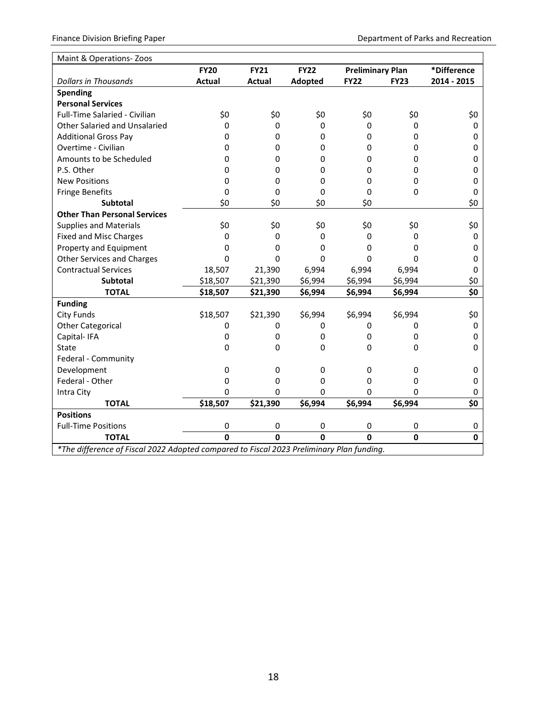| Maint & Operations-Zoos                                                                  |               |               |              |                         |              |             |  |
|------------------------------------------------------------------------------------------|---------------|---------------|--------------|-------------------------|--------------|-------------|--|
|                                                                                          | <b>FY20</b>   | <b>FY21</b>   | <b>FY22</b>  | <b>Preliminary Plan</b> |              | *Difference |  |
| <b>Dollars in Thousands</b>                                                              | <b>Actual</b> | <b>Actual</b> | Adopted      | <b>FY22</b>             | <b>FY23</b>  | 2014 - 2015 |  |
| <b>Spending</b>                                                                          |               |               |              |                         |              |             |  |
| <b>Personal Services</b>                                                                 |               |               |              |                         |              |             |  |
| Full-Time Salaried - Civilian                                                            | \$0           | \$0           | \$0          | \$0                     | \$0          | \$0         |  |
| Other Salaried and Unsalaried                                                            | 0             | 0             | 0            | 0                       | 0            | 0           |  |
| <b>Additional Gross Pay</b>                                                              | 0             | 0             | 0            | 0                       | 0            | 0           |  |
| Overtime - Civilian                                                                      | 0             | 0             | 0            | 0                       | 0            | 0           |  |
| Amounts to be Scheduled                                                                  | 0             | 0             | 0            | 0                       | 0            | 0           |  |
| P.S. Other                                                                               | 0             | 0             | 0            | 0                       | 0            | 0           |  |
| <b>New Positions</b>                                                                     | 0             | 0             | 0            | 0                       | 0            | 0           |  |
| <b>Fringe Benefits</b>                                                                   | 0             | $\mathbf 0$   | 0            | 0                       | 0            | 0           |  |
| <b>Subtotal</b>                                                                          | \$0           | \$0           | \$0          | \$0                     |              | \$0         |  |
| <b>Other Than Personal Services</b>                                                      |               |               |              |                         |              |             |  |
| <b>Supplies and Materials</b>                                                            | \$0           | \$0           | \$0          | \$0                     | \$0          | \$0         |  |
| <b>Fixed and Misc Charges</b>                                                            | 0             | 0             | 0            | 0                       | 0            | 0           |  |
| Property and Equipment                                                                   | 0             | 0             | 0            | 0                       | 0            | 0           |  |
| <b>Other Services and Charges</b>                                                        | 0             | $\Omega$      | $\Omega$     | $\Omega$                | $\Omega$     | 0           |  |
| <b>Contractual Services</b>                                                              | 18,507        | 21,390        | 6,994        | 6,994                   | 6,994        | 0           |  |
| <b>Subtotal</b>                                                                          | \$18,507      | \$21,390      | \$6,994      | \$6,994                 | \$6,994      | \$0         |  |
| <b>TOTAL</b>                                                                             | \$18,507      | \$21,390      | \$6,994      | \$6,994                 | \$6,994      | \$0         |  |
| <b>Funding</b>                                                                           |               |               |              |                         |              |             |  |
| <b>City Funds</b>                                                                        | \$18,507      | \$21,390      | \$6,994      | \$6,994                 | \$6,994      | \$0         |  |
| <b>Other Categorical</b>                                                                 | 0             | 0             | 0            | 0                       | 0            | 0           |  |
| Capital-IFA                                                                              | 0             | 0             | $\Omega$     | 0                       | 0            | 0           |  |
| State                                                                                    | 0             | 0             | 0            | 0                       | 0            | 0           |  |
| Federal - Community                                                                      |               |               |              |                         |              |             |  |
| Development                                                                              | 0             | 0             | 0            | 0                       | 0            | 0           |  |
| Federal - Other                                                                          | 0             | 0             | 0            | 0                       | 0            | 0           |  |
| Intra City                                                                               | 0             | 0             | 0            | 0                       | 0            | 0           |  |
| <b>TOTAL</b>                                                                             | \$18,507      | \$21,390      | \$6,994      | \$6,994                 | \$6,994      | \$0         |  |
| <b>Positions</b>                                                                         |               |               |              |                         |              |             |  |
| <b>Full-Time Positions</b>                                                               | 0             | 0             | 0            | 0                       | 0            | 0           |  |
| <b>TOTAL</b>                                                                             | $\mathbf{0}$  | <sup>0</sup>  | <sup>0</sup> | $\Omega$                | $\mathbf{0}$ | 0           |  |
| *The difference of Fiscal 2022 Adopted compared to Fiscal 2023 Preliminary Plan funding. |               |               |              |                         |              |             |  |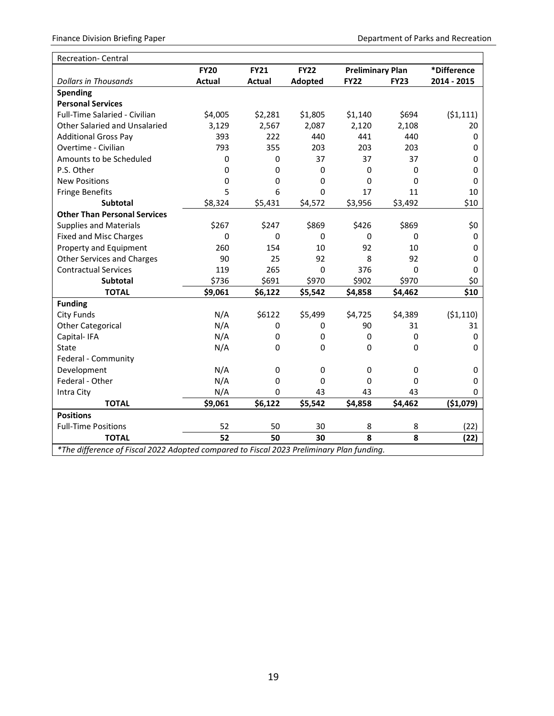| <b>Recreation- Central</b>                                                               |               |               |             |             |                         |             |
|------------------------------------------------------------------------------------------|---------------|---------------|-------------|-------------|-------------------------|-------------|
|                                                                                          | <b>FY20</b>   | <b>FY21</b>   | <b>FY22</b> |             | <b>Preliminary Plan</b> |             |
| <b>Dollars in Thousands</b>                                                              | <b>Actual</b> | <b>Actual</b> | Adopted     | <b>FY22</b> | <b>FY23</b>             | 2014 - 2015 |
| <b>Spending</b>                                                                          |               |               |             |             |                         |             |
| <b>Personal Services</b>                                                                 |               |               |             |             |                         |             |
| Full-Time Salaried - Civilian                                                            | \$4,005       | \$2,281       | \$1,805     | \$1,140     | \$694                   | (51, 111)   |
| Other Salaried and Unsalaried                                                            | 3,129         | 2,567         | 2,087       | 2,120       | 2,108                   | 20          |
| <b>Additional Gross Pay</b>                                                              | 393           | 222           | 440         | 441         | 440                     | 0           |
| Overtime - Civilian                                                                      | 793           | 355           | 203         | 203         | 203                     | 0           |
| Amounts to be Scheduled                                                                  | 0             | $\Omega$      | 37          | 37          | 37                      | $\Omega$    |
| P.S. Other                                                                               | 0             | 0             | 0           | 0           | 0                       | 0           |
| <b>New Positions</b>                                                                     | 0             | 0             | $\mathbf 0$ | 0           | 0                       | $\Omega$    |
| <b>Fringe Benefits</b>                                                                   | 5             | 6             | 0           | 17          | 11                      | 10          |
| <b>Subtotal</b>                                                                          | \$8,324       | \$5,431       | \$4,572     | \$3,956     | \$3,492                 | \$10        |
| <b>Other Than Personal Services</b>                                                      |               |               |             |             |                         |             |
| <b>Supplies and Materials</b>                                                            | \$267         | \$247         | \$869       | \$426       | \$869                   | \$0         |
| <b>Fixed and Misc Charges</b>                                                            | 0             | 0             | $\mathbf 0$ | 0           | 0                       | 0           |
| Property and Equipment                                                                   | 260           | 154           | 10          | 92          | 10                      | 0           |
| <b>Other Services and Charges</b>                                                        | 90            | 25            | 92          | 8           | 92                      | 0           |
| <b>Contractual Services</b>                                                              | 119           | 265           | 0           | 376         | $\Omega$                | 0           |
| Subtotal                                                                                 | \$736         | \$691         | \$970       | \$902       | \$970                   | \$0         |
| <b>TOTAL</b>                                                                             | \$9,061       | \$6,122       | \$5,542     | \$4,858     | \$4,462                 | \$10        |
| <b>Funding</b>                                                                           |               |               |             |             |                         |             |
| <b>City Funds</b>                                                                        | N/A           | \$6122        | \$5,499     | \$4,725     | \$4,389                 | (51, 110)   |
| <b>Other Categorical</b>                                                                 | N/A           | 0             | 0           | 90          | 31                      | 31          |
| Capital-IFA                                                                              | N/A           | 0             | $\mathbf 0$ | 0           | 0                       | 0           |
| State                                                                                    | N/A           | 0             | 0           | 0           | 0                       | 0           |
| Federal - Community                                                                      |               |               |             |             |                         |             |
| Development                                                                              | N/A           | $\Omega$      | $\mathbf 0$ | 0           | 0                       | 0           |
| Federal - Other                                                                          | N/A           | 0             | 0           | 0           | 0                       | 0           |
| Intra City                                                                               | N/A           | $\Omega$      | 43          | 43          | 43                      | 0           |
| <b>TOTAL</b>                                                                             | \$9,061       | \$6,122       | \$5,542     | \$4,858     | \$4,462                 | ( \$1,079)  |
| <b>Positions</b>                                                                         |               |               |             |             |                         |             |
| <b>Full-Time Positions</b>                                                               | 52            | 50            | 30          | 8           | 8                       | (22)        |
| <b>TOTAL</b>                                                                             | 52            | 50            | 30          | 8           | 8                       | (22)        |
| *The difference of Fiscal 2022 Adopted compared to Fiscal 2023 Preliminary Plan funding. |               |               |             |             |                         |             |

19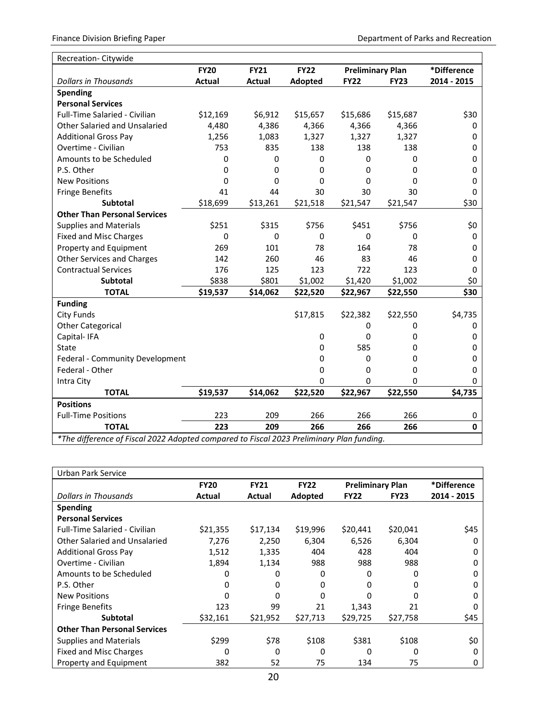| Recreation- Citywide                                                                     |               |             |             |                         |             |             |
|------------------------------------------------------------------------------------------|---------------|-------------|-------------|-------------------------|-------------|-------------|
|                                                                                          | <b>FY20</b>   | <b>FY21</b> | <b>FY22</b> | <b>Preliminary Plan</b> |             | *Difference |
| <b>Dollars in Thousands</b>                                                              | <b>Actual</b> | Actual      | Adopted     | <b>FY22</b>             | <b>FY23</b> | 2014 - 2015 |
| <b>Spending</b>                                                                          |               |             |             |                         |             |             |
| <b>Personal Services</b>                                                                 |               |             |             |                         |             |             |
| Full-Time Salaried - Civilian                                                            | \$12,169      | \$6,912     | \$15,657    | \$15,686                | \$15,687    | \$30        |
| <b>Other Salaried and Unsalaried</b>                                                     | 4,480         | 4,386       | 4,366       | 4,366                   | 4,366       | 0           |
| <b>Additional Gross Pay</b>                                                              | 1,256         | 1,083       | 1,327       | 1,327                   | 1,327       | 0           |
| Overtime - Civilian                                                                      | 753           | 835         | 138         | 138                     | 138         | 0           |
| Amounts to be Scheduled                                                                  | 0             | $\Omega$    | 0           | 0                       | 0           | 0           |
| P.S. Other                                                                               | 0             | 0           | 0           | 0                       | 0           | 0           |
| <b>New Positions</b>                                                                     | 0             | 0           | 0           | 0                       | 0           | 0           |
| <b>Fringe Benefits</b>                                                                   | 41            | 44          | 30          | 30                      | 30          | 0           |
| <b>Subtotal</b>                                                                          | \$18,699      | \$13,261    | \$21,518    | \$21,547                | \$21,547    | \$30        |
| <b>Other Than Personal Services</b>                                                      |               |             |             |                         |             |             |
| <b>Supplies and Materials</b>                                                            | \$251         | \$315       | \$756       | \$451                   | \$756       | \$0         |
| <b>Fixed and Misc Charges</b>                                                            | 0             | $\Omega$    | 0           | $\Omega$                | 0           | 0           |
| Property and Equipment                                                                   | 269           | 101         | 78          | 164                     | 78          | 0           |
| <b>Other Services and Charges</b>                                                        | 142           | 260         | 46          | 83                      | 46          | 0           |
| <b>Contractual Services</b>                                                              | 176           | 125         | 123         | 722                     | 123         | 0           |
| <b>Subtotal</b>                                                                          | \$838         | \$801       | \$1,002     | \$1,420                 | \$1,002     | \$0         |
| <b>TOTAL</b>                                                                             | \$19,537      | \$14,062    | \$22,520    | \$22,967                | \$22,550    | \$30        |
| <b>Funding</b>                                                                           |               |             |             |                         |             |             |
| <b>City Funds</b>                                                                        |               |             | \$17,815    | \$22,382                | \$22,550    | \$4,735     |
| <b>Other Categorical</b>                                                                 |               |             |             | 0                       | 0           | 0           |
| Capital-IFA                                                                              |               |             | 0           | $\mathbf 0$             | 0           | 0           |
| <b>State</b>                                                                             |               |             | 0           | 585                     | 0           | 0           |
| Federal - Community Development                                                          |               |             | 0           | 0                       | 0           | 0           |
| Federal - Other                                                                          |               |             | 0           | 0                       | 0           | 0           |
| Intra City                                                                               |               |             | 0           | $\mathbf 0$             | $\mathbf 0$ | 0           |
| <b>TOTAL</b>                                                                             | \$19,537      | \$14,062    | \$22,520    | \$22,967                | \$22,550    | \$4,735     |
| <b>Positions</b>                                                                         |               |             |             |                         |             |             |
| <b>Full-Time Positions</b>                                                               | 223           | 209         | 266         | 266                     | 266         | 0           |
| <b>TOTAL</b>                                                                             | 223           | 209         | 266         | 266                     | 266         | $\mathbf 0$ |
| *The difference of Fiscal 2022 Adopted compared to Fiscal 2023 Preliminary Plan funding. |               |             |             |                         |             |             |

| Urban Park Service                   |             |             |             |                         |             |             |
|--------------------------------------|-------------|-------------|-------------|-------------------------|-------------|-------------|
|                                      | <b>FY20</b> | <b>FY21</b> | <b>FY22</b> | <b>Preliminary Plan</b> |             | *Difference |
| Dollars in Thousands                 | Actual      | Actual      | Adopted     | <b>FY22</b>             | <b>FY23</b> | 2014 - 2015 |
| <b>Spending</b>                      |             |             |             |                         |             |             |
| <b>Personal Services</b>             |             |             |             |                         |             |             |
| <b>Full-Time Salaried - Civilian</b> | \$21,355    | \$17,134    | \$19,996    | \$20,441                | \$20,041    | \$45        |
| Other Salaried and Unsalaried        | 7,276       | 2,250       | 6,304       | 6,526                   | 6,304       | 0           |
| <b>Additional Gross Pay</b>          | 1,512       | 1,335       | 404         | 428                     | 404         | 0           |
| Overtime - Civilian                  | 1,894       | 1,134       | 988         | 988                     | 988         | 0           |
| Amounts to be Scheduled              | 0           | 0           | 0           | 0                       | 0           | 0           |
| P.S. Other                           | 0           | 0           | 0           | 0                       | Ω           | 0           |
| <b>New Positions</b>                 | 0           | 0           | O           | o                       | O           | 0           |
| <b>Fringe Benefits</b>               | 123         | 99          | 21          | 1,343                   | 21          | 0           |
| <b>Subtotal</b>                      | \$32,161    | \$21,952    | \$27,713    | \$29,725                | \$27,758    | \$45        |
| <b>Other Than Personal Services</b>  |             |             |             |                         |             |             |
| Supplies and Materials               | \$299       | \$78        | \$108       | \$381                   | \$108       | \$0         |
| <b>Fixed and Misc Charges</b>        | 0           | 0           | 0           | Ω                       | 0           | 0           |
| Property and Equipment               | 382         | 52          | 75          | 134                     | 75          | 0           |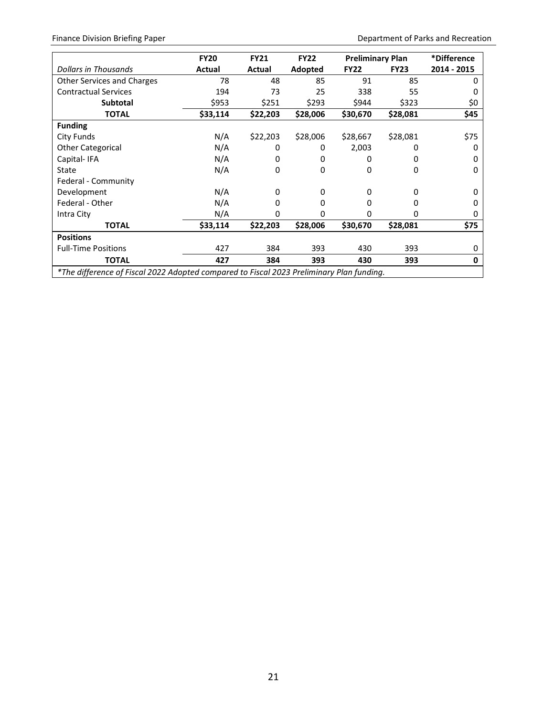Finance Division Briefing Paper **Department of Parks and Recreation** 

|                                                                                          | <b>FY20</b> | <b>FY21</b> | <b>FY22</b> | <b>Preliminary Plan</b> |             | *Difference |
|------------------------------------------------------------------------------------------|-------------|-------------|-------------|-------------------------|-------------|-------------|
| Dollars in Thousands                                                                     | Actual      | Actual      | Adopted     | <b>FY22</b>             | <b>FY23</b> | 2014 - 2015 |
| Other Services and Charges                                                               | 78          | 48          | 85          | 91                      | 85          | 0           |
| <b>Contractual Services</b>                                                              | 194         | 73          | 25          | 338                     | 55          |             |
| Subtotal                                                                                 | \$953       | \$251       | \$293       | \$944                   | \$323       | \$0         |
| <b>TOTAL</b>                                                                             | \$33,114    | \$22,203    | \$28,006    | \$30,670                | \$28,081    | \$45        |
| <b>Funding</b>                                                                           |             |             |             |                         |             |             |
| City Funds                                                                               | N/A         | \$22,203    | \$28,006    | \$28,667                | \$28,081    | \$75        |
| <b>Other Categorical</b>                                                                 | N/A         | 0           | 0           | 2,003                   | 0           | 0           |
| Capital-IFA                                                                              | N/A         | 0           | 0           | 0                       |             | 0           |
| State                                                                                    | N/A         | 0           | 0           | 0                       | 0           | 0           |
| Federal - Community                                                                      |             |             |             |                         |             |             |
| Development                                                                              | N/A         | 0           | 0           | 0                       | 0           | O           |
| Federal - Other                                                                          | N/A         | 0           | 0           | 0                       | 0           | O           |
| Intra City                                                                               | N/A         | 0           | 0           | 0                       | 0           | O           |
| <b>TOTAL</b>                                                                             | \$33,114    | \$22,203    | \$28,006    | \$30,670                | \$28,081    | \$75        |
| <b>Positions</b>                                                                         |             |             |             |                         |             |             |
| <b>Full-Time Positions</b>                                                               | 427         | 384         | 393         | 430                     | 393         | 0           |
| <b>TOTAL</b>                                                                             | 427         | 384         | 393         | 430                     | 393         | 0           |
| *The difference of Fiscal 2022 Adopted compared to Fiscal 2023 Preliminary Plan funding. |             |             |             |                         |             |             |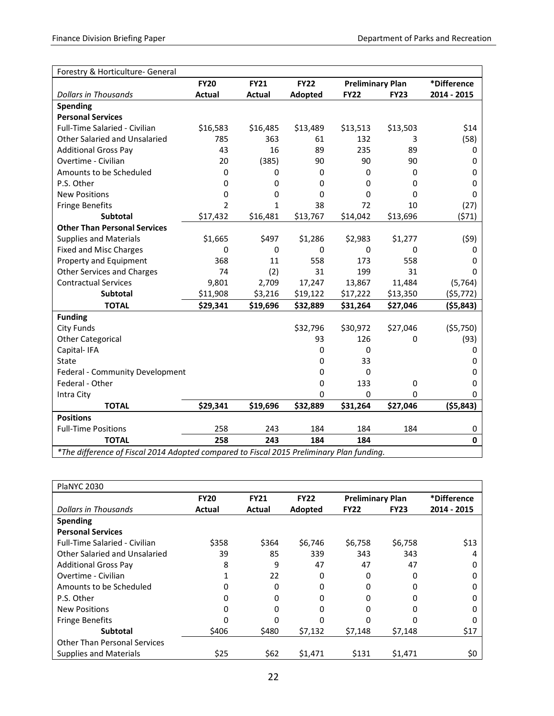| Forestry & Horticulture- General                                                         |                |               |             |                         |             |              |
|------------------------------------------------------------------------------------------|----------------|---------------|-------------|-------------------------|-------------|--------------|
|                                                                                          | <b>FY20</b>    | <b>FY21</b>   | <b>FY22</b> | <b>Preliminary Plan</b> |             | *Difference  |
| <b>Dollars in Thousands</b>                                                              | Actual         | <b>Actual</b> | Adopted     | <b>FY22</b>             | <b>FY23</b> | 2014 - 2015  |
| <b>Spending</b>                                                                          |                |               |             |                         |             |              |
| <b>Personal Services</b>                                                                 |                |               |             |                         |             |              |
| Full-Time Salaried - Civilian                                                            | \$16,583       | \$16,485      | \$13,489    | \$13,513                | \$13,503    | \$14         |
| Other Salaried and Unsalaried                                                            | 785            | 363           | 61          | 132                     | 3           | (58)         |
| <b>Additional Gross Pay</b>                                                              | 43             | 16            | 89          | 235                     | 89          | 0            |
| Overtime - Civilian                                                                      | 20             | (385)         | 90          | 90                      | 90          | 0            |
| Amounts to be Scheduled                                                                  | 0              | 0             | 0           | $\Omega$                | 0           | 0            |
| P.S. Other                                                                               | 0              | 0             | 0           | 0                       | 0           | 0            |
| <b>New Positions</b>                                                                     | 0              | 0             | 0           | 0                       | 0           | 0            |
| <b>Fringe Benefits</b>                                                                   | $\overline{2}$ | 1             | 38          | 72                      | 10          | (27)         |
| <b>Subtotal</b>                                                                          | \$17,432       | \$16,481      | \$13,767    | \$14,042                | \$13,696    | (571)        |
| <b>Other Than Personal Services</b>                                                      |                |               |             |                         |             |              |
| <b>Supplies and Materials</b>                                                            | \$1,665        | \$497         | \$1,286     | \$2,983                 | \$1,277     | (59)         |
| <b>Fixed and Misc Charges</b>                                                            | 0              | 0             | 0           | 0                       | 0           | 0            |
| Property and Equipment                                                                   | 368            | 11            | 558         | 173                     | 558         | 0            |
| <b>Other Services and Charges</b>                                                        | 74             | (2)           | 31          | 199                     | 31          | 0            |
| <b>Contractual Services</b>                                                              | 9,801          | 2,709         | 17,247      | 13,867                  | 11,484      | (5, 764)     |
| <b>Subtotal</b>                                                                          | \$11,908       | \$3,216       | \$19,122    | \$17,222                | \$13,350    | (55, 772)    |
| <b>TOTAL</b>                                                                             | \$29,341       | \$19,696      | \$32,889    | \$31,264                | \$27,046    | ( \$5,843)   |
| <b>Funding</b>                                                                           |                |               |             |                         |             |              |
| <b>City Funds</b>                                                                        |                |               | \$32,796    | \$30,972                | \$27,046    | (55,750)     |
| <b>Other Categorical</b>                                                                 |                |               | 93          | 126                     | 0           | (93)         |
| Capital-IFA                                                                              |                |               | 0           | $\Omega$                |             | 0            |
| State                                                                                    |                |               | 0           | 33                      |             | 0            |
| Federal - Community Development                                                          |                |               | 0           | $\Omega$                |             | 0            |
| Federal - Other                                                                          |                |               | 0           | 133                     | 0           | 0            |
| Intra City                                                                               |                |               | 0           | 0                       | 0           | 0            |
| <b>TOTAL</b>                                                                             | \$29,341       | \$19,696      | \$32,889    | \$31,264                | \$27,046    | (55, 843)    |
| <b>Positions</b>                                                                         |                |               |             |                         |             |              |
| <b>Full-Time Positions</b>                                                               | 258            | 243           | 184         | 184                     | 184         | 0            |
| <b>TOTAL</b>                                                                             | 258            | 243           | 184         | 184                     |             | $\mathbf{0}$ |
| *The difference of Fiscal 2014 Adopted compared to Fiscal 2015 Preliminary Plan funding. |                |               |             |                         |             |              |

| <b>PlaNYC 2030</b>                   |             |             |             |                         |             |             |
|--------------------------------------|-------------|-------------|-------------|-------------------------|-------------|-------------|
|                                      | <b>FY20</b> | <b>FY21</b> | <b>FY22</b> | <b>Preliminary Plan</b> |             | *Difference |
| <b>Dollars in Thousands</b>          | Actual      | Actual      | Adopted     | <b>FY22</b>             | <b>FY23</b> | 2014 - 2015 |
| <b>Spending</b>                      |             |             |             |                         |             |             |
| <b>Personal Services</b>             |             |             |             |                         |             |             |
| <b>Full-Time Salaried - Civilian</b> | \$358       | \$364       | \$6,746     | \$6,758                 | \$6,758     | \$13        |
| Other Salaried and Unsalaried        | 39          | 85          | 339         | 343                     | 343         | 4           |
| <b>Additional Gross Pay</b>          | 8           | 9           | 47          | 47                      | 47          | 0           |
| Overtime - Civilian                  |             | 22          | 0           | 0                       | 0           | 0           |
| Amounts to be Scheduled              | 0           | 0           | 0           | 0                       |             | 0           |
| P.S. Other                           | 0           | 0           | 0           | 0                       |             | 0           |
| <b>New Positions</b>                 | 0           | 0           | 0           | 0                       | 0           | 0           |
| <b>Fringe Benefits</b>               | 0           | O           | ი           |                         |             | 0           |
| <b>Subtotal</b>                      | \$406       | \$480       | \$7,132     | \$7,148                 | \$7,148     | \$17        |
| <b>Other Than Personal Services</b>  |             |             |             |                         |             |             |
| <b>Supplies and Materials</b>        | \$25        | \$62        | \$1,471     | \$131                   | \$1,471     | \$0         |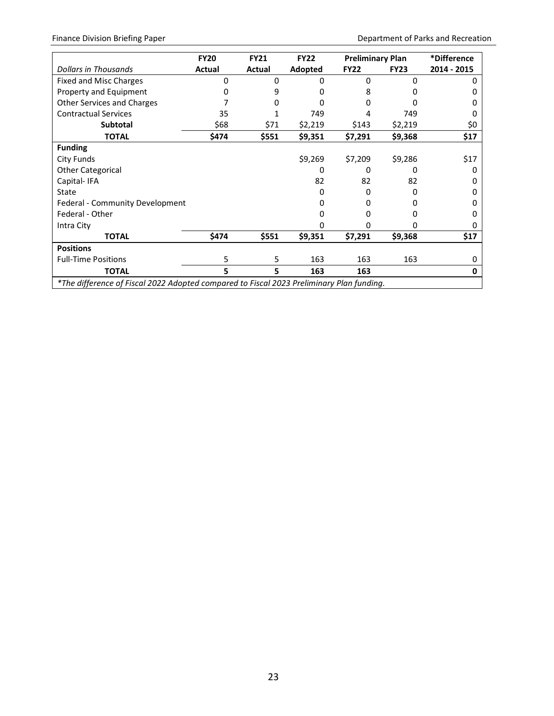|                                                                                          | <b>FY20</b> | <b>FY21</b> | <b>FY22</b> | <b>Preliminary Plan</b> |             | *Difference  |
|------------------------------------------------------------------------------------------|-------------|-------------|-------------|-------------------------|-------------|--------------|
| Dollars in Thousands                                                                     | Actual      | Actual      | Adopted     | <b>FY22</b>             | <b>FY23</b> | 2014 - 2015  |
| Fixed and Misc Charges                                                                   | ი           | 0           | $\Omega$    | $\Omega$                | n           |              |
| Property and Equipment                                                                   | 0           | 9           | ŋ           | 8                       |             |              |
| Other Services and Charges                                                               |             |             | ŋ           | O                       |             |              |
| <b>Contractual Services</b>                                                              | 35          |             | 749         | 4                       | 749         | $\mathbf{I}$ |
| <b>Subtotal</b>                                                                          | \$68        | \$71        | \$2,219     | \$143                   | \$2,219     | \$0          |
| <b>TOTAL</b>                                                                             | \$474       | \$551       | \$9,351     | \$7,291                 | \$9,368     | \$17         |
| <b>Funding</b>                                                                           |             |             |             |                         |             |              |
| City Funds                                                                               |             |             | \$9,269     | \$7,209                 | \$9,286     | \$17         |
| <b>Other Categorical</b>                                                                 |             |             | O           | O                       |             | O            |
| Capital-IFA                                                                              |             |             | 82          | 82                      | 82          |              |
| State                                                                                    |             |             | n           | ŋ                       |             |              |
| Federal - Community Development                                                          |             |             | 0           | 0                       |             | 0            |
| Federal - Other                                                                          |             |             | n           | O                       |             |              |
| Intra City                                                                               |             |             | n           | n                       |             | O            |
| <b>TOTAL</b>                                                                             | \$474       | \$551       | \$9,351     | \$7,291                 | \$9,368     | \$17         |
| <b>Positions</b>                                                                         |             |             |             |                         |             |              |
| <b>Full-Time Positions</b>                                                               | 5           | 5           | 163         | 163                     | 163         | O            |
| <b>TOTAL</b>                                                                             | 5           | 5           | 163         | 163                     |             | 0            |
| *The difference of Fiscal 2022 Adopted compared to Fiscal 2023 Preliminary Plan funding. |             |             |             |                         |             |              |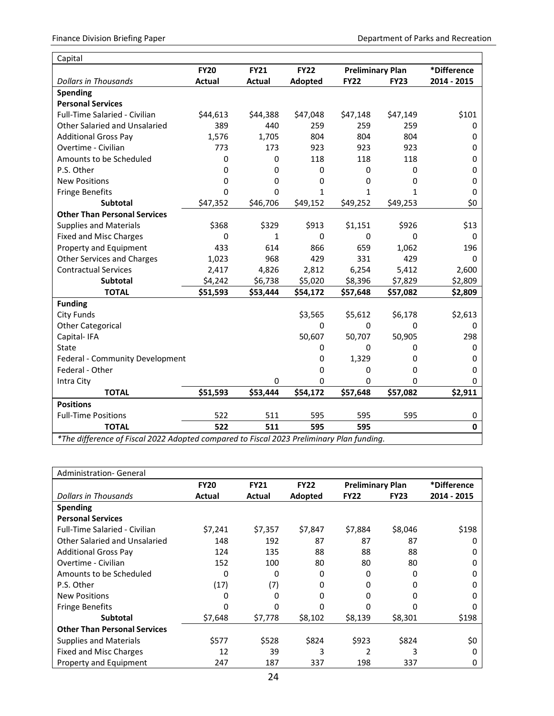| Capital                                                                                  |               |              |             |                         |             |              |
|------------------------------------------------------------------------------------------|---------------|--------------|-------------|-------------------------|-------------|--------------|
|                                                                                          | <b>FY20</b>   | <b>FY21</b>  | <b>FY22</b> | <b>Preliminary Plan</b> |             | *Difference  |
| <b>Dollars in Thousands</b>                                                              | <b>Actual</b> | Actual       | Adopted     | <b>FY22</b>             | <b>FY23</b> | 2014 - 2015  |
| <b>Spending</b>                                                                          |               |              |             |                         |             |              |
| <b>Personal Services</b>                                                                 |               |              |             |                         |             |              |
| Full-Time Salaried - Civilian                                                            | \$44,613      | \$44,388     | \$47,048    | \$47,148                | \$47,149    | \$101        |
| Other Salaried and Unsalaried                                                            | 389           | 440          | 259         | 259                     | 259         | 0            |
| <b>Additional Gross Pay</b>                                                              | 1,576         | 1,705        | 804         | 804                     | 804         | 0            |
| Overtime - Civilian                                                                      | 773           | 173          | 923         | 923                     | 923         | 0            |
| Amounts to be Scheduled                                                                  | 0             | 0            | 118         | 118                     | 118         | 0            |
| P.S. Other                                                                               | 0             | 0            | 0           | $\mathbf 0$             | 0           | 0            |
| <b>New Positions</b>                                                                     | 0             | 0            | 0           | 0                       | 0           | 0            |
| <b>Fringe Benefits</b>                                                                   | 0             | 0            | 1           | 1                       | 1           | 0            |
| <b>Subtotal</b>                                                                          | \$47,352      | \$46,706     | \$49,152    | \$49,252                | \$49,253    | \$0          |
| <b>Other Than Personal Services</b>                                                      |               |              |             |                         |             |              |
| <b>Supplies and Materials</b>                                                            | \$368         | \$329        | \$913       | \$1,151                 | \$926       | \$13         |
| <b>Fixed and Misc Charges</b>                                                            | 0             | $\mathbf{1}$ | 0           | $\mathbf 0$             | $\mathbf 0$ | 0            |
| Property and Equipment                                                                   | 433           | 614          | 866         | 659                     | 1,062       | 196          |
| <b>Other Services and Charges</b>                                                        | 1,023         | 968          | 429         | 331                     | 429         | 0            |
| <b>Contractual Services</b>                                                              | 2,417         | 4,826        | 2,812       | 6,254                   | 5,412       | 2,600        |
| <b>Subtotal</b>                                                                          | \$4,242       | \$6,738      | \$5,020     | \$8,396                 | \$7,829     | \$2,809      |
| <b>TOTAL</b>                                                                             | \$51,593      | \$53,444     | \$54,172    | \$57,648                | \$57,082    | \$2,809      |
| <b>Funding</b>                                                                           |               |              |             |                         |             |              |
| <b>City Funds</b>                                                                        |               |              | \$3,565     | \$5,612                 | \$6,178     | \$2,613      |
| <b>Other Categorical</b>                                                                 |               |              | 0           | 0                       | $\Omega$    | 0            |
| Capital-IFA                                                                              |               |              | 50,607      | 50,707                  | 50,905      | 298          |
| State                                                                                    |               |              | 0           | $\mathbf 0$             | 0           | 0            |
| Federal - Community Development                                                          |               |              | 0           | 1,329                   | 0           | 0            |
| Federal - Other                                                                          |               |              | 0           | $\Omega$                | 0           | 0            |
| Intra City                                                                               |               | 0            | 0           | $\mathbf 0$             | $\mathbf 0$ | 0            |
| <b>TOTAL</b>                                                                             | \$51,593      | \$53,444     | \$54,172    | \$57,648                | \$57,082    | \$2,911      |
| <b>Positions</b>                                                                         |               |              |             |                         |             |              |
| <b>Full-Time Positions</b>                                                               | 522           | 511          | 595         | 595                     | 595         | 0            |
| <b>TOTAL</b>                                                                             | 522           | 511          | 595         | 595                     |             | $\mathbf{0}$ |
| *The difference of Fiscal 2022 Adopted compared to Fiscal 2023 Preliminary Plan funding. |               |              |             |                         |             |              |

| Administration- General              |             |             |             |                         |             |             |  |  |
|--------------------------------------|-------------|-------------|-------------|-------------------------|-------------|-------------|--|--|
|                                      | <b>FY20</b> | <b>FY21</b> | <b>FY22</b> | <b>Preliminary Plan</b> |             | *Difference |  |  |
| Dollars in Thousands                 | Actual      | Actual      | Adopted     | <b>FY22</b>             | <b>FY23</b> | 2014 - 2015 |  |  |
| <b>Spending</b>                      |             |             |             |                         |             |             |  |  |
| <b>Personal Services</b>             |             |             |             |                         |             |             |  |  |
| <b>Full-Time Salaried - Civilian</b> | \$7,241     | \$7,357     | \$7,847     | \$7,884                 | \$8,046     | \$198       |  |  |
| Other Salaried and Unsalaried        | 148         | 192         | 87          | 87                      | 87          | 0           |  |  |
| <b>Additional Gross Pay</b>          | 124         | 135         | 88          | 88                      | 88          | 0           |  |  |
| Overtime - Civilian                  | 152         | 100         | 80          | 80                      | 80          | 0           |  |  |
| Amounts to be Scheduled              | 0           | 0           | 0           | 0                       | 0           | 0           |  |  |
| P.S. Other                           | (17)        | (7)         | 0           | 0                       | 0           | 0           |  |  |
| <b>New Positions</b>                 | 0           | ი           | 0           | n                       | O           | 0           |  |  |
| <b>Fringe Benefits</b>               | 0           | ŋ           | n           |                         |             | O           |  |  |
| <b>Subtotal</b>                      | \$7,648     | \$7,778     | \$8,102     | \$8,139                 | \$8,301     | \$198       |  |  |
| <b>Other Than Personal Services</b>  |             |             |             |                         |             |             |  |  |
| <b>Supplies and Materials</b>        | \$577       | \$528       | \$824       | \$923                   | \$824       | \$0         |  |  |
| <b>Fixed and Misc Charges</b>        | 12          | 39          | 3           | 2                       | 3           | 0           |  |  |
| Property and Equipment               | 247         | 187         | 337         | 198                     | 337         | 0           |  |  |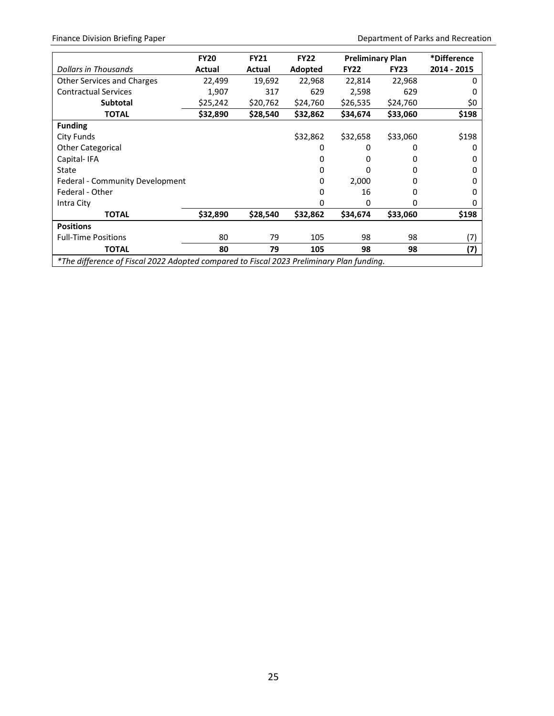Finance Division Briefing Paper **Department of Parks and Recreation** 

|                                                                                          | <b>FY20</b> | <b>FY21</b> | <b>FY22</b> | <b>Preliminary Plan</b> |             | *Difference |
|------------------------------------------------------------------------------------------|-------------|-------------|-------------|-------------------------|-------------|-------------|
| Dollars in Thousands                                                                     | Actual      | Actual      | Adopted     | <b>FY22</b>             | <b>FY23</b> | 2014 - 2015 |
| <b>Other Services and Charges</b>                                                        | 22,499      | 19,692      | 22,968      | 22,814                  | 22,968      | o           |
| <b>Contractual Services</b>                                                              | 1,907       | 317         | 629         | 2,598                   | 629         | O           |
| <b>Subtotal</b>                                                                          | \$25,242    | \$20,762    | \$24,760    | \$26,535                | \$24,760    | \$0         |
| <b>TOTAL</b>                                                                             | \$32,890    | \$28,540    | \$32,862    | \$34,674                | \$33,060    | \$198       |
| <b>Funding</b>                                                                           |             |             |             |                         |             |             |
| City Funds                                                                               |             |             | \$32,862    | \$32,658                | \$33,060    | \$198       |
| <b>Other Categorical</b>                                                                 |             |             | 0           | 0                       | 0           | 0           |
| Capital-IFA                                                                              |             |             |             |                         |             | 0           |
| State                                                                                    |             |             |             | 0                       | 0           | 0           |
| Federal - Community Development                                                          |             |             | 0           | 2,000                   | n           | 0           |
| Federal - Other                                                                          |             |             | ŋ           | 16                      | 0           | 0           |
| Intra City                                                                               |             |             | O           | 0                       | 0           | 0           |
| <b>TOTAL</b>                                                                             | \$32,890    | \$28,540    | \$32,862    | \$34,674                | \$33,060    | \$198       |
| <b>Positions</b>                                                                         |             |             |             |                         |             |             |
| <b>Full-Time Positions</b>                                                               | 80          | 79          | 105         | 98                      | 98          | (7)         |
| <b>TOTAL</b>                                                                             | 80          | 79          | 105         | 98                      | 98          | (7)         |
| *The difference of Fiscal 2022 Adopted compared to Fiscal 2023 Preliminary Plan funding. |             |             |             |                         |             |             |